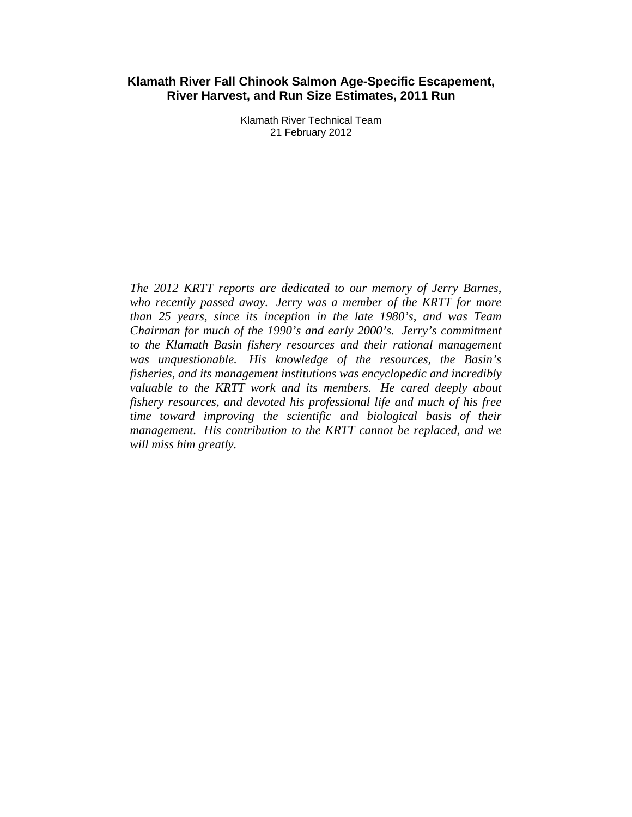#### **Klamath River Fall Chinook Salmon Age-Specific Escapement, River Harvest, and Run Size Estimates, 2011 Run**

Klamath River Technical Team 21 February 2012

*The 2012 KRTT reports are dedicated to our memory of Jerry Barnes, who recently passed away. Jerry was a member of the KRTT for more than 25 years, since its inception in the late 1980's, and was Team Chairman for much of the 1990's and early 2000's. Jerry's commitment to the Klamath Basin fishery resources and their rational management was unquestionable. His knowledge of the resources, the Basin's fisheries, and its management institutions was encyclopedic and incredibly valuable to the KRTT work and its members. He cared deeply about fishery resources, and devoted his professional life and much of his free time toward improving the scientific and biological basis of their management. His contribution to the KRTT cannot be replaced, and we will miss him greatly.*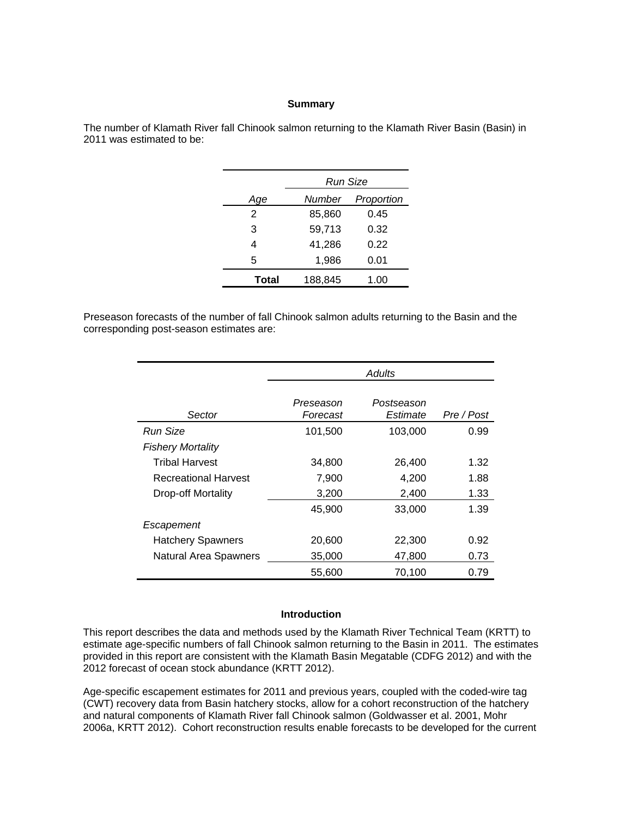#### **Summary**

The number of Klamath River fall Chinook salmon returning to the Klamath River Basin (Basin) in 2011 was estimated to be:

|               | Run Size |            |  |  |  |
|---------------|----------|------------|--|--|--|
| Age           | Number   | Proportion |  |  |  |
| $\mathcal{P}$ | 85,860   | 0.45       |  |  |  |
| 3             | 59,713   | 0.32       |  |  |  |
| 4             | 41,286   | 0.22       |  |  |  |
| 5             | 1,986    | 0.01       |  |  |  |
| Total         | 188,845  | 1.00       |  |  |  |

Preseason forecasts of the number of fall Chinook salmon adults returning to the Basin and the corresponding post-season estimates are:

|                              | Adults                |                        |            |  |  |  |
|------------------------------|-----------------------|------------------------|------------|--|--|--|
| Sector                       | Preseason<br>Forecast | Postseason<br>Estimate | Pre / Post |  |  |  |
| Run Size                     | 101,500               | 103,000                | 0.99       |  |  |  |
| <b>Fishery Mortality</b>     |                       |                        |            |  |  |  |
| <b>Tribal Harvest</b>        | 34,800                | 26,400                 | 1.32       |  |  |  |
| <b>Recreational Harvest</b>  | 7,900                 | 4,200                  | 1.88       |  |  |  |
| Drop-off Mortality           | 3,200                 | 2,400                  | 1.33       |  |  |  |
|                              | 45,900                | 33,000                 | 1.39       |  |  |  |
| Escapement                   |                       |                        |            |  |  |  |
| <b>Hatchery Spawners</b>     | 20,600                | 22,300                 | 0.92       |  |  |  |
| <b>Natural Area Spawners</b> | 35,000                | 47,800                 | 0.73       |  |  |  |
|                              | 55,600                | 70,100                 | 0.79       |  |  |  |

#### **Introduction**

This report describes the data and methods used by the Klamath River Technical Team (KRTT) to estimate age-specific numbers of fall Chinook salmon returning to the Basin in 2011. The estimates provided in this report are consistent with the Klamath Basin Megatable (CDFG 2012) and with the 2012 forecast of ocean stock abundance (KRTT 2012).

Age-specific escapement estimates for 2011 and previous years, coupled with the coded-wire tag (CWT) recovery data from Basin hatchery stocks, allow for a cohort reconstruction of the hatchery and natural components of Klamath River fall Chinook salmon (Goldwasser et al. 2001, Mohr 2006a, KRTT 2012). Cohort reconstruction results enable forecasts to be developed for the current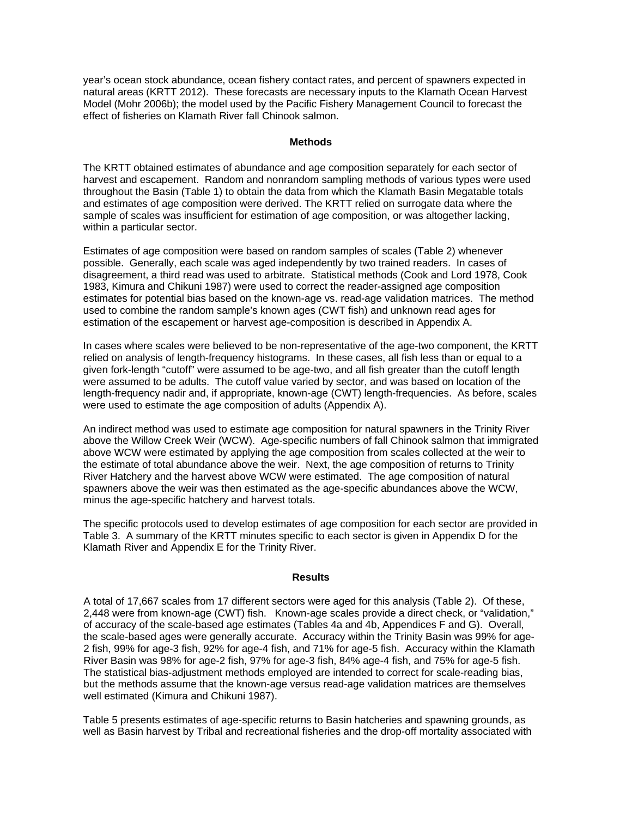year's ocean stock abundance, ocean fishery contact rates, and percent of spawners expected in natural areas (KRTT 2012). These forecasts are necessary inputs to the Klamath Ocean Harvest Model (Mohr 2006b); the model used by the Pacific Fishery Management Council to forecast the effect of fisheries on Klamath River fall Chinook salmon.

#### **Methods**

The KRTT obtained estimates of abundance and age composition separately for each sector of harvest and escapement. Random and nonrandom sampling methods of various types were used throughout the Basin (Table 1) to obtain the data from which the Klamath Basin Megatable totals and estimates of age composition were derived. The KRTT relied on surrogate data where the sample of scales was insufficient for estimation of age composition, or was altogether lacking, within a particular sector.

Estimates of age composition were based on random samples of scales (Table 2) whenever possible. Generally, each scale was aged independently by two trained readers. In cases of disagreement, a third read was used to arbitrate. Statistical methods (Cook and Lord 1978, Cook 1983, Kimura and Chikuni 1987) were used to correct the reader-assigned age composition estimates for potential bias based on the known-age vs. read-age validation matrices. The method used to combine the random sample's known ages (CWT fish) and unknown read ages for estimation of the escapement or harvest age-composition is described in Appendix A.

In cases where scales were believed to be non-representative of the age-two component, the KRTT relied on analysis of length-frequency histograms. In these cases, all fish less than or equal to a given fork-length "cutoff" were assumed to be age-two, and all fish greater than the cutoff length were assumed to be adults. The cutoff value varied by sector, and was based on location of the length-frequency nadir and, if appropriate, known-age (CWT) length-frequencies. As before, scales were used to estimate the age composition of adults (Appendix A).

An indirect method was used to estimate age composition for natural spawners in the Trinity River above the Willow Creek Weir (WCW). Age-specific numbers of fall Chinook salmon that immigrated above WCW were estimated by applying the age composition from scales collected at the weir to the estimate of total abundance above the weir. Next, the age composition of returns to Trinity River Hatchery and the harvest above WCW were estimated. The age composition of natural spawners above the weir was then estimated as the age-specific abundances above the WCW, minus the age-specific hatchery and harvest totals.

The specific protocols used to develop estimates of age composition for each sector are provided in Table 3. A summary of the KRTT minutes specific to each sector is given in Appendix D for the Klamath River and Appendix E for the Trinity River.

#### **Results**

A total of 17,667 scales from 17 different sectors were aged for this analysis (Table 2). Of these, 2,448 were from known-age (CWT) fish. Known-age scales provide a direct check, or "validation," of accuracy of the scale-based age estimates (Tables 4a and 4b, Appendices F and G). Overall, the scale-based ages were generally accurate. Accuracy within the Trinity Basin was 99% for age-2 fish, 99% for age-3 fish, 92% for age-4 fish, and 71% for age-5 fish. Accuracy within the Klamath River Basin was 98% for age-2 fish, 97% for age-3 fish, 84% age-4 fish, and 75% for age-5 fish. The statistical bias-adjustment methods employed are intended to correct for scale-reading bias, but the methods assume that the known-age versus read-age validation matrices are themselves well estimated (Kimura and Chikuni 1987).

Table 5 presents estimates of age-specific returns to Basin hatcheries and spawning grounds, as well as Basin harvest by Tribal and recreational fisheries and the drop-off mortality associated with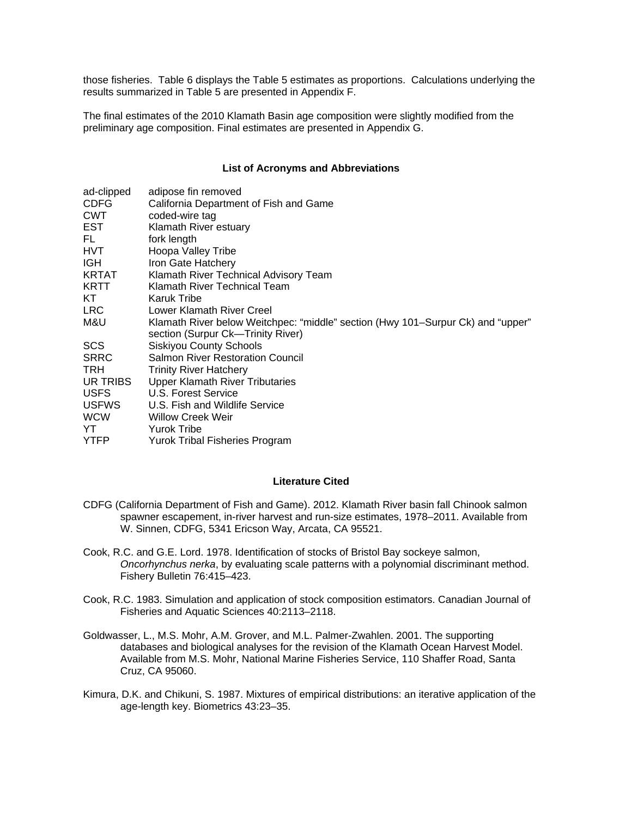those fisheries. Table 6 displays the Table 5 estimates as proportions. Calculations underlying the results summarized in Table 5 are presented in Appendix F.

The final estimates of the 2010 Klamath Basin age composition were slightly modified from the preliminary age composition. Final estimates are presented in Appendix G.

#### **List of Acronyms and Abbreviations**

| ad-clipped   | adipose fin removed                                                             |
|--------------|---------------------------------------------------------------------------------|
| <b>CDFG</b>  | California Department of Fish and Game                                          |
| <b>CWT</b>   | coded-wire tag                                                                  |
| <b>EST</b>   | Klamath River estuary                                                           |
| FL.          | fork length                                                                     |
| HVT.         | Hoopa Valley Tribe                                                              |
| IGH.         | Iron Gate Hatchery                                                              |
| KRTAT        | Klamath River Technical Advisory Team                                           |
| <b>KRTT</b>  | Klamath River Technical Team                                                    |
| KT.          | Karuk Tribe                                                                     |
| LRC.         | Lower Klamath River Creel                                                       |
| M&U          | Klamath River below Weitchpec: "middle" section (Hwy 101–Surpur Ck) and "upper" |
|              | section (Surpur Ck-Trinity River)                                               |
| <b>SCS</b>   | <b>Siskiyou County Schools</b>                                                  |
| <b>SRRC</b>  | <b>Salmon River Restoration Council</b>                                         |
| TRH.         | <b>Trinity River Hatchery</b>                                                   |
| UR TRIBS     | <b>Upper Klamath River Tributaries</b>                                          |
| <b>USFS</b>  | U.S. Forest Service                                                             |
| <b>USFWS</b> | U.S. Fish and Wildlife Service                                                  |
| <b>WCW</b>   | <b>Willow Creek Weir</b>                                                        |
| YT           | <b>Yurok Tribe</b>                                                              |
| <b>YTFP</b>  | Yurok Tribal Fisheries Program                                                  |

#### **Literature Cited**

- CDFG (California Department of Fish and Game). 2012. Klamath River basin fall Chinook salmon spawner escapement, in-river harvest and run-size estimates, 1978–2011. Available from W. Sinnen, CDFG, 5341 Ericson Way, Arcata, CA 95521.
- Cook, R.C. and G.E. Lord. 1978. Identification of stocks of Bristol Bay sockeye salmon, *Oncorhynchus nerka*, by evaluating scale patterns with a polynomial discriminant method. Fishery Bulletin 76:415–423.
- Cook, R.C. 1983. Simulation and application of stock composition estimators. Canadian Journal of Fisheries and Aquatic Sciences 40:2113–2118.
- Goldwasser, L., M.S. Mohr, A.M. Grover, and M.L. Palmer-Zwahlen. 2001. The supporting databases and biological analyses for the revision of the Klamath Ocean Harvest Model. Available from M.S. Mohr, National Marine Fisheries Service, 110 Shaffer Road, Santa Cruz, CA 95060.
- Kimura, D.K. and Chikuni, S. 1987. Mixtures of empirical distributions: an iterative application of the age-length key. Biometrics 43:23–35.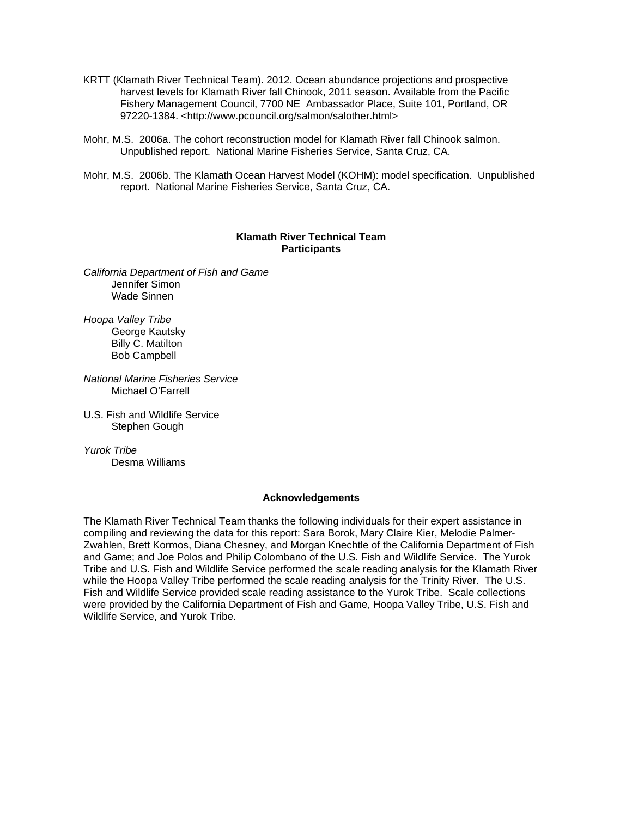- KRTT (Klamath River Technical Team). 2012. Ocean abundance projections and prospective harvest levels for Klamath River fall Chinook, 2011 season. Available from the Pacific Fishery Management Council, 7700 NE Ambassador Place, Suite 101, Portland, OR 97220-1384. <http://www.pcouncil.org/salmon/salother.html>
- Mohr, M.S. 2006a. The cohort reconstruction model for Klamath River fall Chinook salmon. Unpublished report. National Marine Fisheries Service, Santa Cruz, CA.
- Mohr, M.S. 2006b. The Klamath Ocean Harvest Model (KOHM): model specification. Unpublished report. National Marine Fisheries Service, Santa Cruz, CA.

#### **Klamath River Technical Team Participants**

*California Department of Fish and Game*  Jennifer Simon Wade Sinnen

*Hoopa Valley Tribe*  George Kautsky Billy C. Matilton Bob Campbell

*National Marine Fisheries Service*  Michael O'Farrell

U.S. Fish and Wildlife Service Stephen Gough

*Yurok Tribe*  Desma Williams

#### **Acknowledgements**

The Klamath River Technical Team thanks the following individuals for their expert assistance in compiling and reviewing the data for this report: Sara Borok, Mary Claire Kier, Melodie Palmer-Zwahlen, Brett Kormos, Diana Chesney, and Morgan Knechtle of the California Department of Fish and Game; and Joe Polos and Philip Colombano of the U.S. Fish and Wildlife Service. The Yurok Tribe and U.S. Fish and Wildlife Service performed the scale reading analysis for the Klamath River while the Hoopa Valley Tribe performed the scale reading analysis for the Trinity River. The U.S. Fish and Wildlife Service provided scale reading assistance to the Yurok Tribe. Scale collections were provided by the California Department of Fish and Game, Hoopa Valley Tribe, U.S. Fish and Wildlife Service, and Yurok Tribe.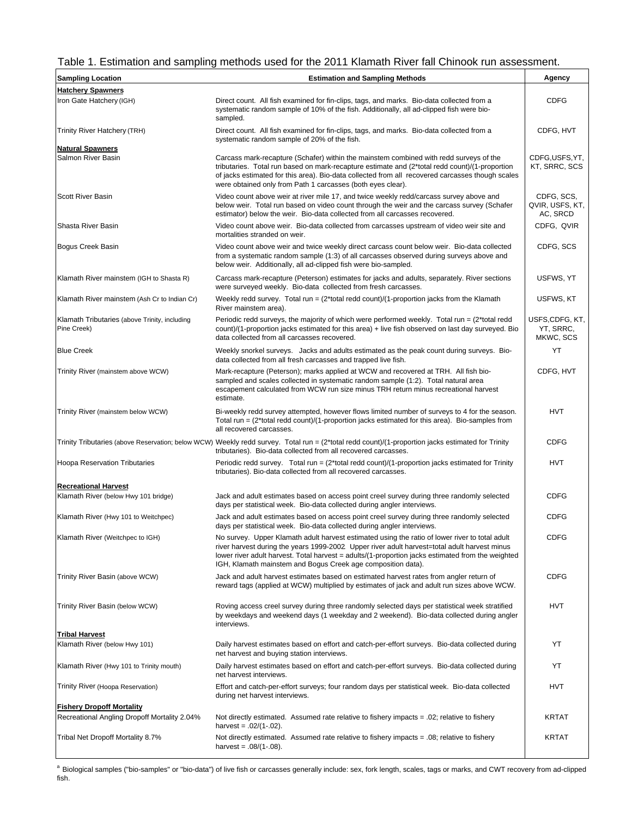#### Table 1. Estimation and sampling methods used for the 2011 Klamath River fall Chinook run assessment.

| <b>Sampling Location</b>                                     | <b>Estimation and Sampling Methods</b>                                                                                                                                                                                                                                                                                                                              | Agency                                    |
|--------------------------------------------------------------|---------------------------------------------------------------------------------------------------------------------------------------------------------------------------------------------------------------------------------------------------------------------------------------------------------------------------------------------------------------------|-------------------------------------------|
| <b>Hatchery Spawners</b>                                     |                                                                                                                                                                                                                                                                                                                                                                     |                                           |
| Iron Gate Hatchery (IGH)                                     | Direct count. All fish examined for fin-clips, tags, and marks. Bio-data collected from a<br>systematic random sample of 10% of the fish. Additionally, all ad-clipped fish were bio-<br>sampled.                                                                                                                                                                   | <b>CDFG</b>                               |
| Trinity River Hatchery (TRH)                                 | Direct count. All fish examined for fin-clips, tags, and marks. Bio-data collected from a<br>systematic random sample of 20% of the fish.                                                                                                                                                                                                                           | CDFG, HVT                                 |
| <b>Natural Spawners</b>                                      |                                                                                                                                                                                                                                                                                                                                                                     |                                           |
| Salmon River Basin                                           | Carcass mark-recapture (Schafer) within the mainstem combined with redd surveys of the<br>tributaries. Total run based on mark-recapture estimate and (2*total redd count)/(1-proportion<br>of jacks estimated for this area). Bio-data collected from all recovered carcasses though scales<br>were obtained only from Path 1 carcasses (both eyes clear).         | CDFG,USFS,YT,<br>KT, SRRC, SCS            |
| <b>Scott River Basin</b>                                     | Video count above weir at river mile 17, and twice weekly redd/carcass survey above and<br>below weir. Total run based on video count through the weir and the carcass survey (Schafer<br>estimator) below the weir. Bio-data collected from all carcasses recovered.                                                                                               | CDFG, SCS,<br>QVIR, USFS, KT,<br>AC, SRCD |
| Shasta River Basin                                           | Video count above weir. Bio-data collected from carcasses upstream of video weir site and<br>mortalities stranded on weir.                                                                                                                                                                                                                                          | CDFG, QVIR                                |
| Bogus Creek Basin                                            | Video count above weir and twice weekly direct carcass count below weir. Bio-data collected<br>from a systematic random sample (1:3) of all carcasses observed during surveys above and<br>below weir. Additionally, all ad-clipped fish were bio-sampled.                                                                                                          | CDFG, SCS                                 |
| Klamath River mainstem (IGH to Shasta R)                     | Carcass mark-recapture (Peterson) estimates for jacks and adults, separately. River sections<br>were surveyed weekly. Bio-data collected from fresh carcasses.                                                                                                                                                                                                      | USFWS. YT                                 |
| Klamath River mainstem (Ash Cr to Indian Cr)                 | Weekly redd survey. Total run = $(2*total redd count)/(1-proportion jacks from the Klamath)$<br>River mainstem area).                                                                                                                                                                                                                                               | USFWS, KT                                 |
| Klamath Tributaries (above Trinity, including<br>Pine Creek) | Periodic redd surveys, the majority of which were performed weekly. Total run $= (2*$ total redd<br>count)/(1-proportion jacks estimated for this area) + live fish observed on last day surveyed. Bio<br>data collected from all carcasses recovered.                                                                                                              | USFS,CDFG, KT,<br>YT, SRRC,<br>MKWC, SCS  |
| <b>Blue Creek</b>                                            | Weekly snorkel surveys. Jacks and adults estimated as the peak count during surveys. Bio-<br>data collected from all fresh carcasses and trapped live fish.                                                                                                                                                                                                         | YT                                        |
| Trinity River (mainstem above WCW)                           | Mark-recapture (Peterson); marks applied at WCW and recovered at TRH. All fish bio-<br>sampled and scales collected in systematic random sample (1:2). Total natural area<br>escapement calculated from WCW run size minus TRH return minus recreational harvest<br>estimate.                                                                                       | CDFG, HVT                                 |
| Trinity River (mainstem below WCW)                           | Bi-weekly redd survey attempted, however flows limited number of surveys to 4 for the season.<br>Total run = $(2*total redd count)/(1-proportion jacks estimated for this area)$ . Bio-samples from<br>all recovered carcasses.                                                                                                                                     | HVT                                       |
|                                                              | Trinity Tributaries (above Reservation; below WCW) Weekly redd survey. Total run = (2*total redd count)/(1-proportion jacks estimated for Trinity<br>tributaries). Bio-data collected from all recovered carcasses.                                                                                                                                                 | <b>CDFG</b>                               |
| <b>Hoopa Reservation Tributaries</b>                         | Periodic redd survey. Total run = $(2*total redd count)/(1-proportion jacks estimator$ estimated for Trinity<br>tributaries). Bio-data collected from all recovered carcasses.                                                                                                                                                                                      | <b>HVT</b>                                |
| <b>Recreational Harvest</b>                                  |                                                                                                                                                                                                                                                                                                                                                                     |                                           |
| Klamath River (below Hwy 101 bridge)                         | Jack and adult estimates based on access point creel survey during three randomly selected<br>days per statistical week. Bio-data collected during angler interviews.                                                                                                                                                                                               | <b>CDFG</b>                               |
| Klamath River (Hwy 101 to Weitchpec)                         | Jack and adult estimates based on access point creel survey during three randomly selected<br>days per statistical week. Bio-data collected during angler interviews.                                                                                                                                                                                               | <b>CDFG</b>                               |
| Klamath River (Weitchpec to IGH)                             | No survey. Upper Klamath adult harvest estimated using the ratio of lower river to total adult<br>river harvest during the years 1999-2002 Upper river adult harvest=total adult harvest minus<br>lower river adult harvest. Total harvest = adults/(1-proportion jacks estimated from the weighted<br>IGH, Klamath mainstem and Bogus Creek age composition data). | <b>CDFG</b>                               |
| Trinity River Basin (above WCW)                              | Jack and adult harvest estimates based on estimated harvest rates from angler return of<br>reward tags (applied at WCW) multiplied by estimates of jack and adult run sizes above WCW.                                                                                                                                                                              | <b>CDFG</b>                               |
| Trinity River Basin (below WCW)                              | Roving access creel survey during three randomly selected days per statistical week stratified<br>by weekdays and weekend days (1 weekday and 2 weekend). Bio-data collected during angler<br>interviews.                                                                                                                                                           | HVT                                       |
| <b>Tribal Harvest</b>                                        |                                                                                                                                                                                                                                                                                                                                                                     |                                           |
| Klamath River (below Hwy 101)                                | Daily harvest estimates based on effort and catch-per-effort surveys. Bio-data collected during<br>net harvest and buying station interviews.                                                                                                                                                                                                                       | YT                                        |
| Klamath River (Hwy 101 to Trinity mouth)                     | Daily harvest estimates based on effort and catch-per-effort surveys. Bio-data collected during<br>net harvest interviews.                                                                                                                                                                                                                                          | YT                                        |
| Trinity River (Hoopa Reservation)                            | Effort and catch-per-effort surveys; four random days per statistical week. Bio-data collected<br>during net harvest interviews.                                                                                                                                                                                                                                    | HVT                                       |
| <b>Fishery Dropoff Mortality</b>                             |                                                                                                                                                                                                                                                                                                                                                                     |                                           |
| Recreational Angling Dropoff Mortality 2.04%                 | Not directly estimated. Assumed rate relative to fishery impacts = .02; relative to fishery<br>harvest = $.02/(1-.02)$ .                                                                                                                                                                                                                                            | <b>KRTAT</b>                              |
| Tribal Net Dropoff Mortality 8.7%                            | Not directly estimated. Assumed rate relative to fishery impacts $= .08$ ; relative to fishery<br>harvest = $.08/(1-.08)$ .                                                                                                                                                                                                                                         | <b>KRTAT</b>                              |

a Biological samples ("bio-samples" or "bio-data") of live fish or carcasses generally include: sex, fork length, scales, tags or marks, and CWT recovery from ad-clipped fish.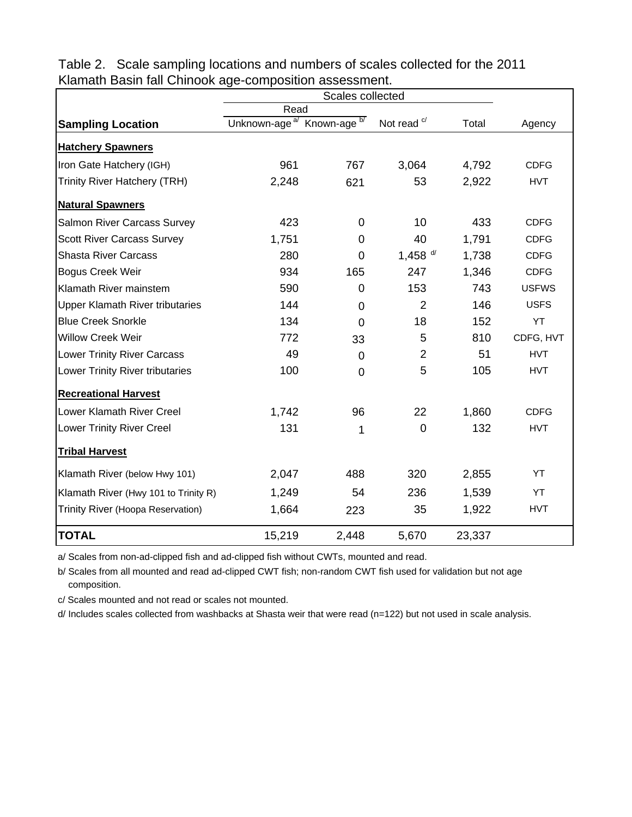|                                        | Read                                                 |                |                        |        |              |
|----------------------------------------|------------------------------------------------------|----------------|------------------------|--------|--------------|
| <b>Sampling Location</b>               | Known-age <sup>b/</sup><br>Unknown-age <sup>a/</sup> |                | Not read <sup>c/</sup> | Total  | Agency       |
| <b>Hatchery Spawners</b>               |                                                      |                |                        |        |              |
| Iron Gate Hatchery (IGH)               | 961                                                  | 767            | 3,064                  | 4,792  | <b>CDFG</b>  |
| Trinity River Hatchery (TRH)           | 2,248                                                | 621            | 53                     | 2,922  | <b>HVT</b>   |
| <b>Natural Spawners</b>                |                                                      |                |                        |        |              |
| Salmon River Carcass Survey            | 423                                                  | 0              | 10                     | 433    | <b>CDFG</b>  |
| <b>Scott River Carcass Survey</b>      | 1,751                                                | 0              | 40                     | 1,791  | <b>CDFG</b>  |
| <b>Shasta River Carcass</b>            | 280                                                  | $\overline{0}$ | 1,458 $d/$             | 1,738  | <b>CDFG</b>  |
| <b>Bogus Creek Weir</b>                | 934                                                  | 165            | 247                    | 1,346  | <b>CDFG</b>  |
| Klamath River mainstem                 | 590                                                  | 0              | 153                    | 743    | <b>USFWS</b> |
| <b>Upper Klamath River tributaries</b> | 144                                                  | 0              | $\overline{2}$         | 146    | <b>USFS</b>  |
| <b>Blue Creek Snorkle</b>              | 134                                                  | $\overline{0}$ | 18                     | 152    | YT           |
| <b>Willow Creek Weir</b>               | 772                                                  | 33             | 5                      | 810    | CDFG, HVT    |
| <b>Lower Trinity River Carcass</b>     | 49                                                   | $\mathbf 0$    | $\overline{2}$         | 51     | <b>HVT</b>   |
| Lower Trinity River tributaries        | 100                                                  | 0              | 5                      | 105    | <b>HVT</b>   |
| <b>Recreational Harvest</b>            |                                                      |                |                        |        |              |
| Lower Klamath River Creel              | 1,742                                                | 96             | 22                     | 1,860  | <b>CDFG</b>  |
| <b>Lower Trinity River Creel</b>       | 131                                                  | 1              | $\mathbf 0$            | 132    | <b>HVT</b>   |
| <b>Tribal Harvest</b>                  |                                                      |                |                        |        |              |
| Klamath River (below Hwy 101)          | 2,047                                                | 488            | 320                    | 2,855  | YT           |
| Klamath River (Hwy 101 to Trinity R)   | 1,249                                                | 54             | 236                    | 1,539  | YT           |
| Trinity River (Hoopa Reservation)      | 1,664                                                | 223            | 35                     | 1,922  | <b>HVT</b>   |
| <b>TOTAL</b>                           | 15,219                                               | 2,448          | 5,670                  | 23,337 |              |

Table 2. Scale sampling locations and numbers of scales collected for the 2011 Klamath Basin fall Chinook age-composition assessment.

a/ Scales from non-ad-clipped fish and ad-clipped fish without CWTs, mounted and read.

b/ Scales from all mounted and read ad-clipped CWT fish; non-random CWT fish used for validation but not age composition.

c/ Scales mounted and not read or scales not mounted.

d/ Includes scales collected from washbacks at Shasta weir that were read (n=122) but not used in scale analysis.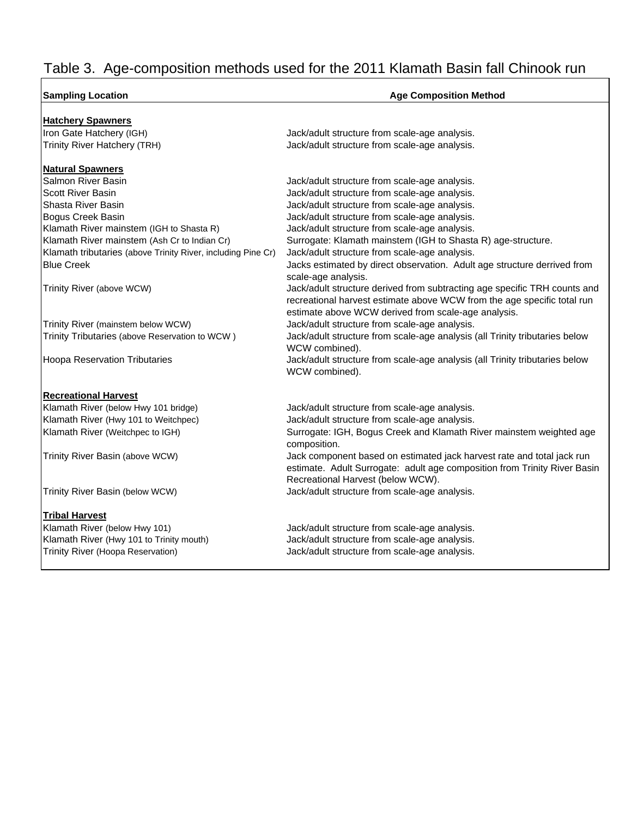# Table 3. Age-composition methods used for the 2011 Klamath Basin fall Chinook run

٦

| <b>Sampling Location</b>                                                                                                                                                                                                                                                                                                                                                                                                                                     | <b>Age Composition Method</b>                                                                                                                                                                                                       |
|--------------------------------------------------------------------------------------------------------------------------------------------------------------------------------------------------------------------------------------------------------------------------------------------------------------------------------------------------------------------------------------------------------------------------------------------------------------|-------------------------------------------------------------------------------------------------------------------------------------------------------------------------------------------------------------------------------------|
| <b>Hatchery Spawners</b>                                                                                                                                                                                                                                                                                                                                                                                                                                     |                                                                                                                                                                                                                                     |
| Iron Gate Hatchery (IGH)                                                                                                                                                                                                                                                                                                                                                                                                                                     | Jack/adult structure from scale-age analysis.                                                                                                                                                                                       |
| <b>Trinity River Hatchery (TRH)</b>                                                                                                                                                                                                                                                                                                                                                                                                                          | Jack/adult structure from scale-age analysis.                                                                                                                                                                                       |
| <b>Natural Spawners</b>                                                                                                                                                                                                                                                                                                                                                                                                                                      |                                                                                                                                                                                                                                     |
| Salmon River Basin                                                                                                                                                                                                                                                                                                                                                                                                                                           | Jack/adult structure from scale-age analysis.                                                                                                                                                                                       |
| <b>Scott River Basin</b>                                                                                                                                                                                                                                                                                                                                                                                                                                     | Jack/adult structure from scale-age analysis.                                                                                                                                                                                       |
| Shasta River Basin                                                                                                                                                                                                                                                                                                                                                                                                                                           | Jack/adult structure from scale-age analysis.                                                                                                                                                                                       |
| Bogus Creek Basin                                                                                                                                                                                                                                                                                                                                                                                                                                            | Jack/adult structure from scale-age analysis.                                                                                                                                                                                       |
| Klamath River mainstem (IGH to Shasta R)                                                                                                                                                                                                                                                                                                                                                                                                                     | Jack/adult structure from scale-age analysis.                                                                                                                                                                                       |
| Klamath River mainstem (Ash Cr to Indian Cr)                                                                                                                                                                                                                                                                                                                                                                                                                 | Surrogate: Klamath mainstem (IGH to Shasta R) age-structure.                                                                                                                                                                        |
| Klamath tributaries (above Trinity River, including Pine Cr)                                                                                                                                                                                                                                                                                                                                                                                                 | Jack/adult structure from scale-age analysis.                                                                                                                                                                                       |
| <b>Blue Creek</b>                                                                                                                                                                                                                                                                                                                                                                                                                                            | Jacks estimated by direct observation. Adult age structure derrived from<br>scale-age analysis.                                                                                                                                     |
| Trinity River (above WCW)                                                                                                                                                                                                                                                                                                                                                                                                                                    | Jack/adult structure derived from subtracting age specific TRH counts and<br>recreational harvest estimate above WCW from the age specific total run<br>estimate above WCW derived from scale-age analysis.                         |
| Trinity River (mainstem below WCW)                                                                                                                                                                                                                                                                                                                                                                                                                           | Jack/adult structure from scale-age analysis.                                                                                                                                                                                       |
| Trinity Tributaries (above Reservation to WCW)                                                                                                                                                                                                                                                                                                                                                                                                               | Jack/adult structure from scale-age analysis (all Trinity tributaries below<br>WCW combined).                                                                                                                                       |
| <b>Hoopa Reservation Tributaries</b>                                                                                                                                                                                                                                                                                                                                                                                                                         | Jack/adult structure from scale-age analysis (all Trinity tributaries below<br>WCW combined).                                                                                                                                       |
| <b>Recreational Harvest</b>                                                                                                                                                                                                                                                                                                                                                                                                                                  |                                                                                                                                                                                                                                     |
| Klamath River (below Hwy 101 bridge)                                                                                                                                                                                                                                                                                                                                                                                                                         | Jack/adult structure from scale-age analysis.                                                                                                                                                                                       |
| Klamath River (Hwy 101 to Weitchpec)                                                                                                                                                                                                                                                                                                                                                                                                                         | Jack/adult structure from scale-age analysis.                                                                                                                                                                                       |
| Klamath River (Weitchpec to IGH)                                                                                                                                                                                                                                                                                                                                                                                                                             | Surrogate: IGH, Bogus Creek and Klamath River mainstem weighted age<br>composition.                                                                                                                                                 |
| Trinity River Basin (above WCW)                                                                                                                                                                                                                                                                                                                                                                                                                              | Jack component based on estimated jack harvest rate and total jack run<br>estimate. Adult Surrogate: adult age composition from Trinity River Basin<br>Recreational Harvest (below WCW).                                            |
| Trinity River Basin (below WCW)                                                                                                                                                                                                                                                                                                                                                                                                                              | Jack/adult structure from scale-age analysis.                                                                                                                                                                                       |
| <b>Tribal Harvest</b>                                                                                                                                                                                                                                                                                                                                                                                                                                        |                                                                                                                                                                                                                                     |
| Klamath River (below Hwy 101)                                                                                                                                                                                                                                                                                                                                                                                                                                | Jack/adult structure from scale-age analysis.                                                                                                                                                                                       |
| Klamath River (Hwy 101 to Trinity mouth)                                                                                                                                                                                                                                                                                                                                                                                                                     | Jack/adult structure from scale-age analysis.                                                                                                                                                                                       |
| $\mathbf{r} \cdot \mathbf{r} = \mathbf{r} \cdot \mathbf{r} + \mathbf{r} \cdot \mathbf{r} + \mathbf{r} \cdot \mathbf{r} + \mathbf{r} \cdot \mathbf{r} + \mathbf{r} \cdot \mathbf{r} + \mathbf{r} \cdot \mathbf{r} + \mathbf{r} \cdot \mathbf{r} + \mathbf{r} \cdot \mathbf{r} + \mathbf{r} \cdot \mathbf{r} + \mathbf{r} \cdot \mathbf{r} + \mathbf{r} \cdot \mathbf{r} + \mathbf{r} \cdot \mathbf{r} + \mathbf{r} \cdot \mathbf{r} + \mathbf{r} \cdot \math$ | <b>The set of all the second contracts of the second second second second second second second second second second second second second second second second second second second second second second second second second se</b> |

Trinity River (Hoopa Reservation) Jack/adult structure from scale-age analysis.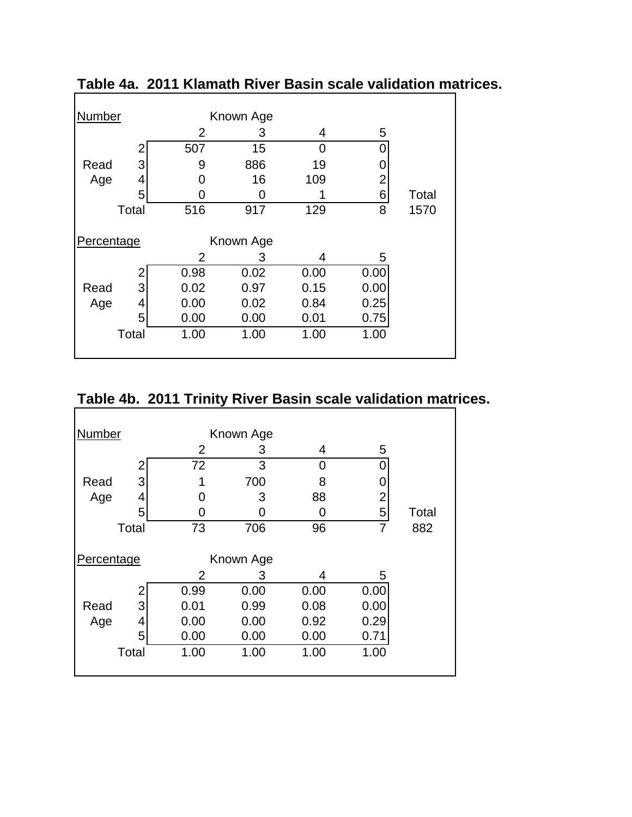| Number     |       |                | Known Age |      |                |       |
|------------|-------|----------------|-----------|------|----------------|-------|
|            |       | $\overline{2}$ | 3         | 4    | 5              |       |
|            | 2     | 507            | 15        | 0    |                |       |
| Read       | 3     | 9              | 886       | 19   |                |       |
| Age        | 4     | O              | 16        | 109  | $\overline{2}$ |       |
|            | 5     | 0              | 0         |      | 6              | Total |
|            | Total | 516            | 917       | 129  | 8              | 1570  |
|            |       |                |           |      |                |       |
| Percentage |       |                | Known Age |      |                |       |
|            |       | 2              | 3         | 4    | 5              |       |
|            |       | 0.98           | 0.02      | 0.00 | 0.00           |       |
| Read       | 3     | 0.02           | 0.97      | 0.15 | 0.00           |       |
| Age        | 4     | 0.00           | 0.02      | 0.84 | 0.25           |       |
|            | 5     | 0.00           | 0.00      | 0.01 | 0.75           |       |
|            | Total | 1.00           | 1.00      | 1.00 | 1.00           |       |
|            |       |                |           |      |                |       |

**Table 4a. 2011 Klamath River Basin scale validation matrices.**

## **Table 4b. 2011 Trinity River Basin scale validation matrices.**

| Number     |       |                | Known Age |      |                |       |
|------------|-------|----------------|-----------|------|----------------|-------|
|            |       | $\overline{2}$ | 3         | 4    | 5              |       |
|            | 2     | 72             | 3         | 0    |                |       |
| Read       | 3     | 1              | 700       | 8    |                |       |
| Age        | 4     | O              | 3         | 88   | $\overline{2}$ |       |
|            | 5     | n              | 0         | 0    | 5              | Total |
|            | Total | 73             | 706       | 96   | 7              | 882   |
| Percentage |       |                | Known Age |      |                |       |
|            |       | $\overline{2}$ | 3         | 4    | 5              |       |
|            | 2     | 0.99           | 0.00      | 0.00 | 0.00           |       |
| Read       | 3     | 0.01           | 0.99      | 0.08 | 0.00           |       |
| Age        | 4     | 0.00           | 0.00      | 0.92 | 0.29           |       |
|            | 5     | 0.00           | 0.00      | 0.00 | 0.71           |       |
|            | Total | 1.00           | 1.00      | 1.00 | 1.00           |       |
|            |       |                |           |      |                |       |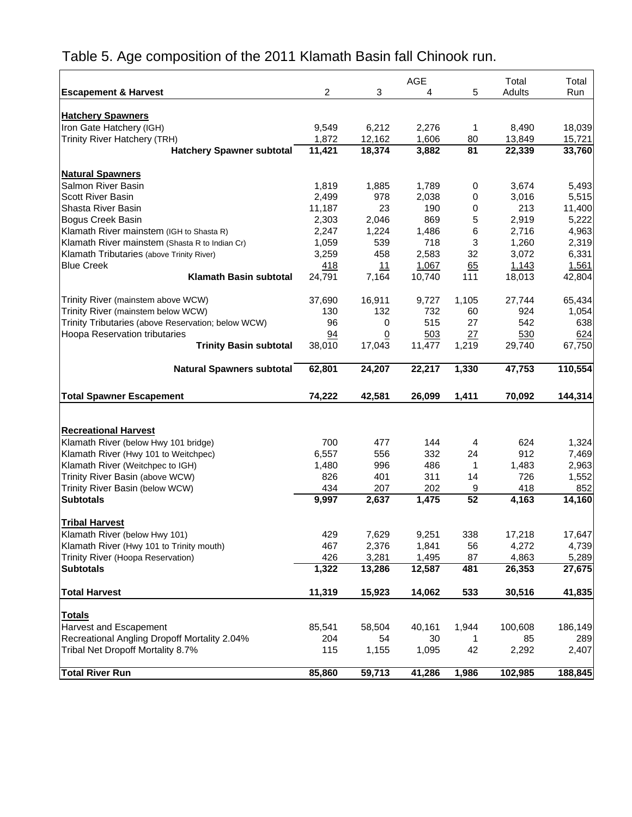|                                                    |            |                | <b>AGE</b> |                      | Total   | Total   |
|----------------------------------------------------|------------|----------------|------------|----------------------|---------|---------|
| <b>Escapement &amp; Harvest</b>                    | 2          | 3              | 4          | 5                    | Adults  | Run     |
|                                                    |            |                |            |                      |         |         |
| <b>Hatchery Spawners</b>                           |            |                |            |                      |         |         |
| Iron Gate Hatchery (IGH)                           | 9.549      | 6,212          | 2,276      | 1                    | 8,490   | 18,039  |
| Trinity River Hatchery (TRH)                       | 1,872      | 12,162         | 1,606      | 80                   | 13,849  | 15,721  |
| <b>Hatchery Spawner subtotal</b>                   | 11,421     | 18,374         | 3,882      | $\overline{81}$      | 22,339  | 33,760  |
| <b>Natural Spawners</b>                            |            |                |            |                      |         |         |
| Salmon River Basin                                 | 1,819      | 1,885          | 1,789      | 0                    | 3,674   | 5,493   |
| <b>Scott River Basin</b>                           | 2,499      | 978            | 2,038      | 0                    | 3,016   | 5,515   |
| Shasta River Basin                                 | 11,187     | 23             | 190        | $\mathbf 0$          | 213     | 11,400  |
| Bogus Creek Basin                                  | 2,303      | 2,046          | 869        | 5                    | 2,919   | 5,222   |
| Klamath River mainstem (IGH to Shasta R)           | 2,247      | 1,224          | 1,486      | 6                    | 2,716   | 4,963   |
| Klamath River mainstem (Shasta R to Indian Cr)     | 1,059      | 539            | 718        | 3                    | 1,260   | 2,319   |
| Klamath Tributaries (above Trinity River)          | 3,259      | 458            | 2,583      | 32                   | 3,072   | 6,331   |
| <b>Blue Creek</b>                                  | <u>418</u> | 11             | 1,067      | 65                   | 1,143   | 1,561   |
| <b>Klamath Basin subtotal</b>                      | 24,791     | 7,164          | 10,740     | 111                  | 18,013  | 42,804  |
| Trinity River (mainstem above WCW)                 | 37,690     | 16,911         | 9,727      | 1,105                | 27,744  | 65,434  |
| Trinity River (mainstem below WCW)                 | 130        | 132            | 732        | 60                   | 924     | 1,054   |
| Trinity Tributaries (above Reservation; below WCW) | 96         | 0              | 515        | 27                   | 542     | 638     |
| <b>Hoopa Reservation tributaries</b>               | 94         | $\overline{0}$ | 503        | 27                   | 530     | 624     |
| <b>Trinity Basin subtotal</b>                      | 38,010     | 17,043         | 11,477     | 1,219                | 29,740  | 67,750  |
| <b>Natural Spawners subtotal</b>                   | 62,801     | 24,207         | 22,217     | 1,330                | 47,753  | 110,554 |
| <b>Total Spawner Escapement</b>                    | 74,222     | 42,581         | 26,099     | 1,411                | 70,092  | 144,314 |
|                                                    |            |                |            |                      |         |         |
|                                                    |            |                |            |                      |         |         |
| <b>Recreational Harvest</b>                        |            |                |            |                      |         |         |
| Klamath River (below Hwy 101 bridge)               | 700        | 477            | 144        | 4                    | 624     | 1,324   |
| Klamath River (Hwy 101 to Weitchpec)               | 6,557      | 556            | 332        | 24                   | 912     | 7,469   |
| Klamath River (Weitchpec to IGH)                   | 1,480      | 996            | 486        | 1                    | 1,483   | 2,963   |
| Trinity River Basin (above WCW)                    | 826        | 401            | 311        | 14                   | 726     | 1,552   |
| Trinity River Basin (below WCW)                    | 434        | 207            | 202        | 9<br>$\overline{52}$ | 418     | 852     |
| <b>Subtotals</b>                                   | 9,997      | 2,637          | 1,475      |                      | 4,163   | 14,160  |
| <b>Tribal Harvest</b>                              |            |                |            |                      |         |         |
| Klamath River (below Hwy 101)                      | 429        | 7,629          | 9,251      | 338                  | 17,218  | 17,647  |
| Klamath River (Hwy 101 to Trinity mouth)           | 467        | 2,376          | 1,841      | 56                   | 4,272   | 4,739   |
| Trinity River (Hoopa Reservation)                  | 426        | 3,281          | 1,495      | 87                   | 4,863   | 5,289   |
| <b>Subtotals</b>                                   | 1,322      | 13,286         | 12,587     | 481                  | 26,353  | 27,675  |
| <b>Total Harvest</b>                               | 11,319     | 15,923         | 14,062     | 533                  | 30,516  | 41,835  |
| <b>Totals</b>                                      |            |                |            |                      |         |         |
| Harvest and Escapement                             | 85,541     | 58,504         | 40,161     | 1,944                | 100,608 | 186,149 |
| Recreational Angling Dropoff Mortality 2.04%       | 204        | 54             | 30         | 1                    | 85      | 289     |
| Tribal Net Dropoff Mortality 8.7%                  | 115        | 1,155          | 1,095      | 42                   | 2,292   | 2,407   |
| <b>Total River Run</b>                             | 85,860     | 59,713         | 41,286     | 1,986                | 102,985 | 188,845 |

## Table 5. Age composition of the 2011 Klamath Basin fall Chinook run.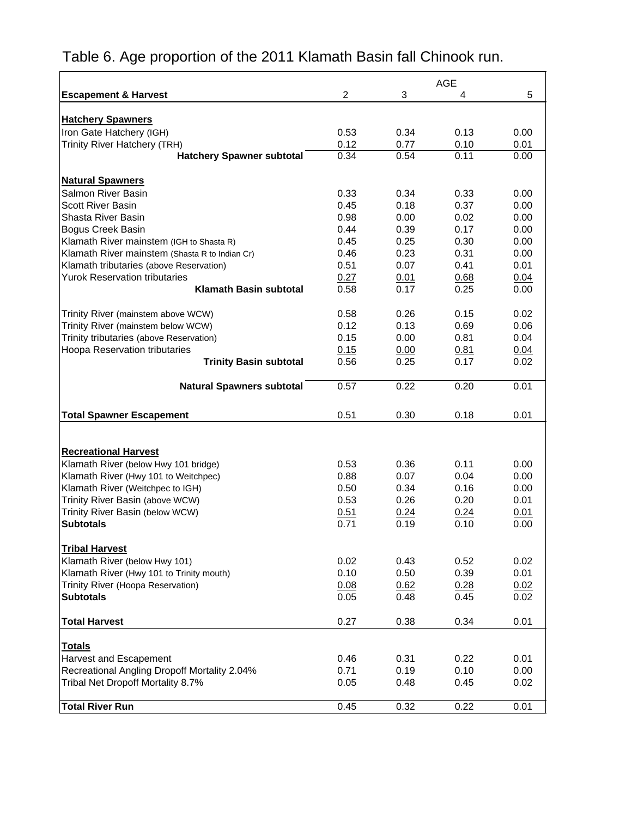|                                                |      |      | <b>AGE</b> |      |
|------------------------------------------------|------|------|------------|------|
| <b>Escapement &amp; Harvest</b>                | 2    | 3    | 4          | 5    |
|                                                |      |      |            |      |
| <b>Hatchery Spawners</b>                       |      |      |            |      |
| Iron Gate Hatchery (IGH)                       | 0.53 | 0.34 | 0.13       | 0.00 |
| Trinity River Hatchery (TRH)                   | 0.12 | 0.77 | 0.10       | 0.01 |
| <b>Hatchery Spawner subtotal</b>               | 0.34 | 0.54 | 0.11       | 0.00 |
| <b>Natural Spawners</b>                        |      |      |            |      |
| Salmon River Basin                             | 0.33 | 0.34 | 0.33       | 0.00 |
| <b>Scott River Basin</b>                       | 0.45 | 0.18 | 0.37       | 0.00 |
| Shasta River Basin                             | 0.98 | 0.00 | 0.02       | 0.00 |
| Bogus Creek Basin                              | 0.44 | 0.39 | 0.17       | 0.00 |
| Klamath River mainstem (IGH to Shasta R)       | 0.45 | 0.25 | 0.30       | 0.00 |
| Klamath River mainstem (Shasta R to Indian Cr) | 0.46 | 0.23 | 0.31       | 0.00 |
| Klamath tributaries (above Reservation)        | 0.51 | 0.07 | 0.41       | 0.01 |
| <b>Yurok Reservation tributaries</b>           | 0.27 | 0.01 | 0.68       | 0.04 |
| <b>Klamath Basin subtotal</b>                  | 0.58 | 0.17 | 0.25       | 0.00 |
|                                                |      |      |            |      |
| Trinity River (mainstem above WCW)             | 0.58 | 0.26 | 0.15       | 0.02 |
| Trinity River (mainstem below WCW)             | 0.12 | 0.13 | 0.69       | 0.06 |
| Trinity tributaries (above Reservation)        | 0.15 | 0.00 | 0.81       | 0.04 |
| Hoopa Reservation tributaries                  | 0.15 | 0.00 | 0.81       | 0.04 |
| <b>Trinity Basin subtotal</b>                  | 0.56 | 0.25 | 0.17       | 0.02 |
| <b>Natural Spawners subtotal</b>               | 0.57 | 0.22 | 0.20       | 0.01 |
|                                                |      |      |            |      |
| <b>Total Spawner Escapement</b>                | 0.51 | 0.30 | 0.18       | 0.01 |
|                                                |      |      |            |      |
| <b>Recreational Harvest</b>                    |      |      |            |      |
| Klamath River (below Hwy 101 bridge)           | 0.53 | 0.36 | 0.11       | 0.00 |
| Klamath River (Hwy 101 to Weitchpec)           | 0.88 | 0.07 | 0.04       | 0.00 |
| Klamath River (Weitchpec to IGH)               | 0.50 | 0.34 | 0.16       | 0.00 |
| Trinity River Basin (above WCW)                | 0.53 | 0.26 | 0.20       | 0.01 |
| Trinity River Basin (below WCW)                | 0.51 | 0.24 | 0.24       | 0.01 |
| <b>Subtotals</b>                               | 0.71 | 0.19 | 0.10       | 0.00 |
| <b>Tribal Harvest</b>                          |      |      |            |      |
| Klamath River (below Hwy 101)                  | 0.02 | 0.43 | 0.52       | 0.02 |
| Klamath River (Hwy 101 to Trinity mouth)       | 0.10 | 0.50 | 0.39       | 0.01 |
| Trinity River (Hoopa Reservation)              | 0.08 | 0.62 | 0.28       | 0.02 |
| <b>Subtotals</b>                               | 0.05 | 0.48 | 0.45       | 0.02 |
|                                                |      |      |            |      |
| <b>Total Harvest</b>                           | 0.27 | 0.38 | 0.34       | 0.01 |
| <b>Totals</b>                                  |      |      |            |      |
| Harvest and Escapement                         | 0.46 | 0.31 | 0.22       | 0.01 |
| Recreational Angling Dropoff Mortality 2.04%   | 0.71 | 0.19 | 0.10       | 0.00 |
| Tribal Net Dropoff Mortality 8.7%              | 0.05 | 0.48 | 0.45       | 0.02 |
|                                                |      |      |            |      |
| <b>Total River Run</b>                         | 0.45 | 0.32 | 0.22       | 0.01 |

## Table 6. Age proportion of the 2011 Klamath Basin fall Chinook run.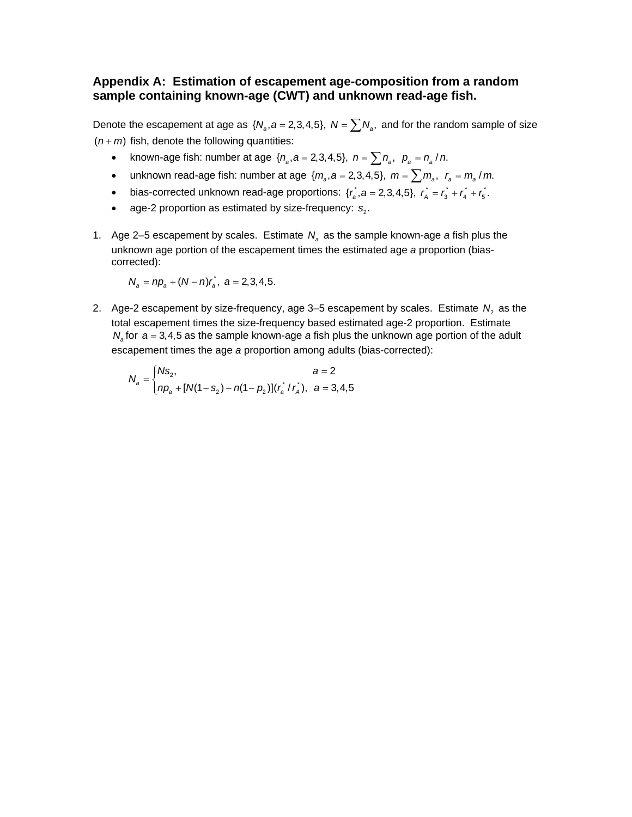#### **Appendix A: Estimation of escapement age-composition from a random sample containing known-age (CWT) and unknown read-age fish.**

Denote the escapement at age as  $\{N_a, a = 2,3,4,5\}$ ,  $N = \sum N_a$ , and for the random sample of size  $(n + m)$  fish, denote the following quantities:

- known-age fish: number at age  $\{n_a, a = 2,3,4,5\}$ ,  $n = \sum n_a$ ,  $p_a = n_a / n$ .
- unknown read-age fish: number at age  $\{m_a, a = 2, 3, 4, 5\}$ ,  $m = \sum m_a$ ,  $r_a = m_a / m$ .
- bias-corrected unknown read-age proportions:  $\{r_a^*, a = 2, 3, 4, 5\}$ ,  $r_a^* = r_a^* + r_a^* + r_5^*$ .
- age-2 proportion as estimated by size-frequency:  $s<sub>2</sub>$ .
- 1. Age 2–5 escapement by scales. Estimate  $N_a$  as the sample known-age *a* fish plus the unknown age portion of the escapement times the estimated age *a* proportion (biascorrected):

$$
N_a = np_a + (N - n)r_a^*, \ \ a = 2,3,4,5.
$$

2. Age-2 escapement by size-frequency, age  $3-5$  escapement by scales. Estimate  $N<sub>2</sub>$  as the total escapement times the size-frequency based estimated age-2 proportion. Estimate  $N_a$  for  $a = 3, 4, 5$  as the sample known-age *a* fish plus the unknown age portion of the adult escapement times the age *a* proportion among adults (bias-corrected):

$$
N_a = \begin{cases} N s_2, & a = 2 \\ np_a + [N(1 - s_2) - n(1 - p_2)](r_a^* / r_A), & a = 3, 4, 5 \end{cases}
$$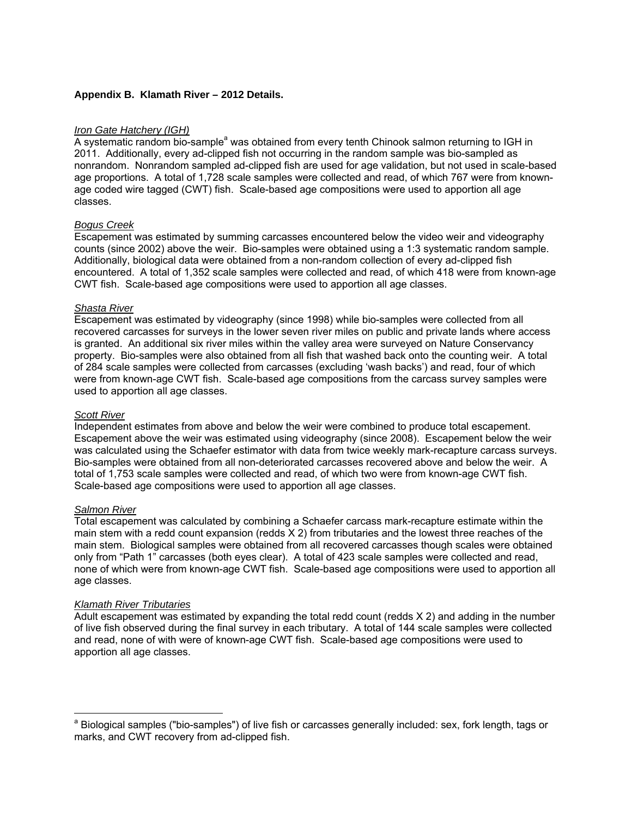#### **Appendix B. Klamath River – 2012 Details.**

#### *Iron Gate Hatchery (IGH)*

A systematic random bio-sample<sup>a</sup> was obtained from every tenth Chinook salmon returning to IGH in 2011. Additionally, every ad-clipped fish not occurring in the random sample was bio-sampled as nonrandom. Nonrandom sampled ad-clipped fish are used for age validation, but not used in scale-based age proportions. A total of 1,728 scale samples were collected and read, of which 767 were from knownage coded wire tagged (CWT) fish. Scale-based age compositions were used to apportion all age classes.

#### *Bogus Creek*

Escapement was estimated by summing carcasses encountered below the video weir and videography counts (since 2002) above the weir. Bio-samples were obtained using a 1:3 systematic random sample. Additionally, biological data were obtained from a non-random collection of every ad-clipped fish encountered. A total of 1,352 scale samples were collected and read, of which 418 were from known-age CWT fish. Scale-based age compositions were used to apportion all age classes.

#### *Shasta River*

Escapement was estimated by videography (since 1998) while bio-samples were collected from all recovered carcasses for surveys in the lower seven river miles on public and private lands where access is granted. An additional six river miles within the valley area were surveyed on Nature Conservancy property. Bio-samples were also obtained from all fish that washed back onto the counting weir. A total of 284 scale samples were collected from carcasses (excluding 'wash backs') and read, four of which were from known-age CWT fish. Scale-based age compositions from the carcass survey samples were used to apportion all age classes.

#### *Scott River*

Independent estimates from above and below the weir were combined to produce total escapement. Escapement above the weir was estimated using videography (since 2008). Escapement below the weir was calculated using the Schaefer estimator with data from twice weekly mark-recapture carcass surveys. Bio-samples were obtained from all non-deteriorated carcasses recovered above and below the weir. A total of 1,753 scale samples were collected and read, of which two were from known-age CWT fish. Scale-based age compositions were used to apportion all age classes.

#### *Salmon River*

 $\overline{a}$ 

Total escapement was calculated by combining a Schaefer carcass mark-recapture estimate within the main stem with a redd count expansion (redds X 2) from tributaries and the lowest three reaches of the main stem. Biological samples were obtained from all recovered carcasses though scales were obtained only from "Path 1" carcasses (both eyes clear). A total of 423 scale samples were collected and read, none of which were from known-age CWT fish. Scale-based age compositions were used to apportion all age classes.

#### *Klamath River Tributaries*

Adult escapement was estimated by expanding the total redd count (redds X 2) and adding in the number of live fish observed during the final survey in each tributary. A total of 144 scale samples were collected and read, none of with were of known-age CWT fish. Scale-based age compositions were used to apportion all age classes.

<sup>&</sup>lt;sup>a</sup> Biological samples ("bio-samples") of live fish or carcasses generally included: sex, fork length, tags or marks, and CWT recovery from ad-clipped fish.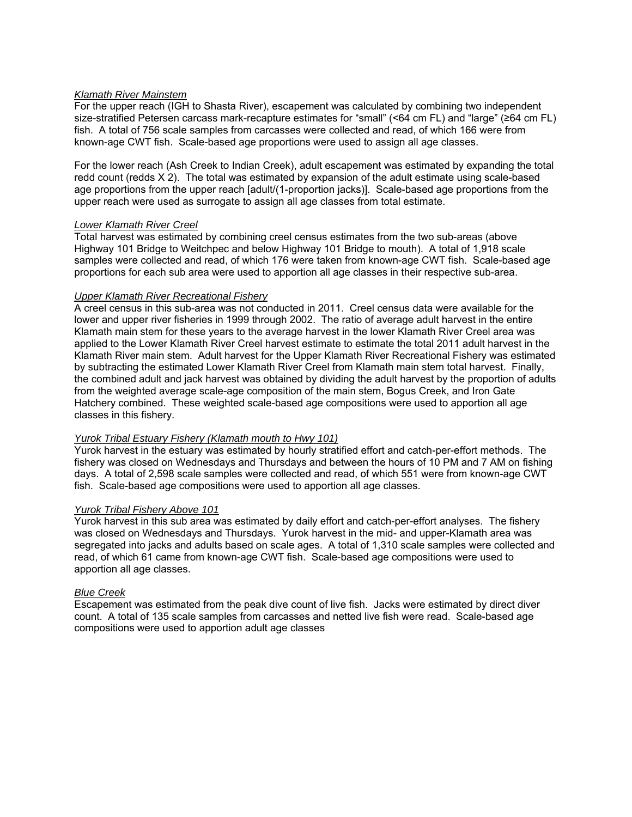#### *Klamath River Mainstem*

For the upper reach (IGH to Shasta River), escapement was calculated by combining two independent size-stratified Petersen carcass mark-recapture estimates for "small" (<64 cm FL) and "large" (≥64 cm FL) fish. A total of 756 scale samples from carcasses were collected and read, of which 166 were from known-age CWT fish. Scale-based age proportions were used to assign all age classes.

For the lower reach (Ash Creek to Indian Creek), adult escapement was estimated by expanding the total redd count (redds X 2). The total was estimated by expansion of the adult estimate using scale-based age proportions from the upper reach [adult/(1-proportion jacks)]. Scale-based age proportions from the upper reach were used as surrogate to assign all age classes from total estimate.

#### *Lower Klamath River Creel*

Total harvest was estimated by combining creel census estimates from the two sub-areas (above Highway 101 Bridge to Weitchpec and below Highway 101 Bridge to mouth). A total of 1,918 scale samples were collected and read, of which 176 were taken from known-age CWT fish. Scale-based age proportions for each sub area were used to apportion all age classes in their respective sub-area.

#### *Upper Klamath River Recreational Fishery*

A creel census in this sub-area was not conducted in 2011. Creel census data were available for the lower and upper river fisheries in 1999 through 2002. The ratio of average adult harvest in the entire Klamath main stem for these years to the average harvest in the lower Klamath River Creel area was applied to the Lower Klamath River Creel harvest estimate to estimate the total 2011 adult harvest in the Klamath River main stem. Adult harvest for the Upper Klamath River Recreational Fishery was estimated by subtracting the estimated Lower Klamath River Creel from Klamath main stem total harvest. Finally, the combined adult and jack harvest was obtained by dividing the adult harvest by the proportion of adults from the weighted average scale-age composition of the main stem, Bogus Creek, and Iron Gate Hatchery combined. These weighted scale-based age compositions were used to apportion all age classes in this fishery.

#### *Yurok Tribal Estuary Fishery (Klamath mouth to Hwy 101)*

Yurok harvest in the estuary was estimated by hourly stratified effort and catch-per-effort methods. The fishery was closed on Wednesdays and Thursdays and between the hours of 10 PM and 7 AM on fishing days. A total of 2,598 scale samples were collected and read, of which 551 were from known-age CWT fish. Scale-based age compositions were used to apportion all age classes.

#### *Yurok Tribal Fishery Above 101*

Yurok harvest in this sub area was estimated by daily effort and catch-per-effort analyses. The fishery was closed on Wednesdays and Thursdays. Yurok harvest in the mid- and upper-Klamath area was segregated into jacks and adults based on scale ages. A total of 1,310 scale samples were collected and read, of which 61 came from known-age CWT fish. Scale-based age compositions were used to apportion all age classes.

#### *Blue Creek*

Escapement was estimated from the peak dive count of live fish. Jacks were estimated by direct diver count. A total of 135 scale samples from carcasses and netted live fish were read. Scale-based age compositions were used to apportion adult age classes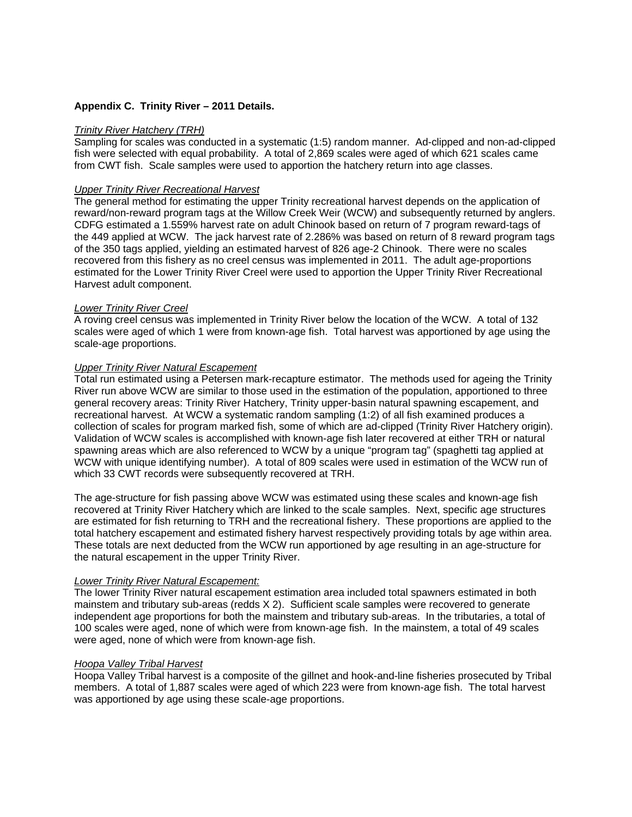#### **Appendix C. Trinity River – 2011 Details.**

#### *Trinity River Hatchery (TRH)*

Sampling for scales was conducted in a systematic (1:5) random manner. Ad-clipped and non-ad-clipped fish were selected with equal probability. A total of 2,869 scales were aged of which 621 scales came from CWT fish. Scale samples were used to apportion the hatchery return into age classes.

#### *Upper Trinity River Recreational Harvest*

The general method for estimating the upper Trinity recreational harvest depends on the application of reward/non-reward program tags at the Willow Creek Weir (WCW) and subsequently returned by anglers. CDFG estimated a 1.559% harvest rate on adult Chinook based on return of 7 program reward-tags of the 449 applied at WCW. The jack harvest rate of 2.286% was based on return of 8 reward program tags of the 350 tags applied, yielding an estimated harvest of 826 age-2 Chinook. There were no scales recovered from this fishery as no creel census was implemented in 2011. The adult age-proportions estimated for the Lower Trinity River Creel were used to apportion the Upper Trinity River Recreational Harvest adult component.

#### *Lower Trinity River Creel*

A roving creel census was implemented in Trinity River below the location of the WCW. A total of 132 scales were aged of which 1 were from known-age fish. Total harvest was apportioned by age using the scale-age proportions.

#### *Upper Trinity River Natural Escapement*

Total run estimated using a Petersen mark-recapture estimator. The methods used for ageing the Trinity River run above WCW are similar to those used in the estimation of the population, apportioned to three general recovery areas: Trinity River Hatchery, Trinity upper-basin natural spawning escapement, and recreational harvest. At WCW a systematic random sampling (1:2) of all fish examined produces a collection of scales for program marked fish, some of which are ad-clipped (Trinity River Hatchery origin). Validation of WCW scales is accomplished with known-age fish later recovered at either TRH or natural spawning areas which are also referenced to WCW by a unique "program tag" (spaghetti tag applied at WCW with unique identifying number). A total of 809 scales were used in estimation of the WCW run of which 33 CWT records were subsequently recovered at TRH.

The age-structure for fish passing above WCW was estimated using these scales and known-age fish recovered at Trinity River Hatchery which are linked to the scale samples. Next, specific age structures are estimated for fish returning to TRH and the recreational fishery. These proportions are applied to the total hatchery escapement and estimated fishery harvest respectively providing totals by age within area. These totals are next deducted from the WCW run apportioned by age resulting in an age-structure for the natural escapement in the upper Trinity River.

#### *Lower Trinity River Natural Escapement:*

The lower Trinity River natural escapement estimation area included total spawners estimated in both mainstem and tributary sub-areas (redds X 2). Sufficient scale samples were recovered to generate independent age proportions for both the mainstem and tributary sub-areas. In the tributaries, a total of 100 scales were aged, none of which were from known-age fish. In the mainstem, a total of 49 scales were aged, none of which were from known-age fish.

#### *Hoopa Valley Tribal Harvest*

Hoopa Valley Tribal harvest is a composite of the gillnet and hook-and-line fisheries prosecuted by Tribal members. A total of 1,887 scales were aged of which 223 were from known-age fish. The total harvest was apportioned by age using these scale-age proportions.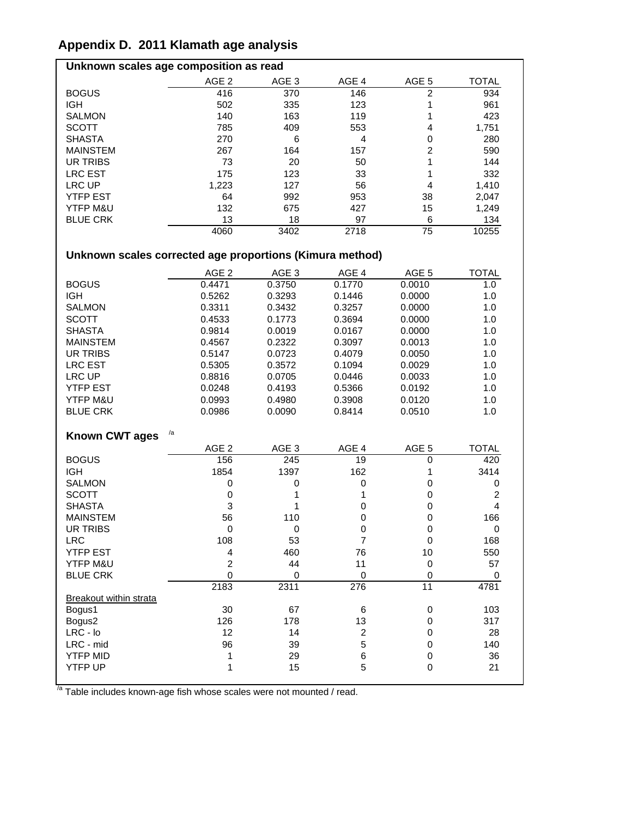## **Appendix D. 2011 Klamath age analysis**

| Unknown scales age composition as read |                  |                  |       |                  |              |
|----------------------------------------|------------------|------------------|-------|------------------|--------------|
|                                        | AGE <sub>2</sub> | AGE <sub>3</sub> | AGE 4 | AGE <sub>5</sub> | <b>TOTAL</b> |
| <b>BOGUS</b>                           | 416              | 370              | 146   | 2                | 934          |
| <b>IGH</b>                             | 502              | 335              | 123   |                  | 961          |
| <b>SALMON</b>                          | 140              | 163              | 119   |                  | 423          |
| <b>SCOTT</b>                           | 785              | 409              | 553   | 4                | 1,751        |
| <b>SHASTA</b>                          | 270              | 6                | 4     | 0                | 280          |
| <b>MAINSTEM</b>                        | 267              | 164              | 157   | 2                | 590          |
| UR TRIBS                               | 73               | 20               | 50    |                  | 144          |
| <b>LRC EST</b>                         | 175              | 123              | 33    |                  | 332          |
| LRC UP                                 | 1,223            | 127              | 56    | 4                | 1,410        |
| <b>YTFP EST</b>                        | 64               | 992              | 953   | 38               | 2,047        |
| YTFP M&U                               | 132              | 675              | 427   | 15               | 1,249        |
| <b>BLUE CRK</b>                        | 13               | 18               | 97    | 6                | 134          |
|                                        | 4060             | 3402             | 2718  | 75               | 10255        |

### **Unknown scales corrected age proportions (Kimura method)**

|                               | AGE <sub>2</sub> | AGE <sub>3</sub> | AGE 4            | AGE 5            | <b>TOTAL</b>   |
|-------------------------------|------------------|------------------|------------------|------------------|----------------|
| <b>BOGUS</b>                  | 0.4471           | 0.3750           | 0.1770           | 0.0010           | 1.0            |
| <b>IGH</b>                    | 0.5262           | 0.3293           | 0.1446           | 0.0000           | 1.0            |
| <b>SALMON</b>                 | 0.3311           | 0.3432           | 0.3257           | 0.0000           | 1.0            |
| <b>SCOTT</b>                  | 0.4533           | 0.1773           | 0.3694           | 0.0000           | 1.0            |
| <b>SHASTA</b>                 | 0.9814           | 0.0019           | 0.0167           | 0.0000           | 1.0            |
| <b>MAINSTEM</b>               | 0.4567           | 0.2322           | 0.3097           | 0.0013           | 1.0            |
| <b>UR TRIBS</b>               | 0.5147           | 0.0723           | 0.4079           | 0.0050           | 1.0            |
| <b>LRC EST</b>                | 0.5305           | 0.3572           | 0.1094           | 0.0029           | 1.0            |
| <b>LRC UP</b>                 | 0.8816           | 0.0705           | 0.0446           | 0.0033           | 1.0            |
| <b>YTFP EST</b>               | 0.0248           | 0.4193           | 0.5366           | 0.0192           | 1.0            |
| YTFP M&U                      | 0.0993           | 0.4980           | 0.3908           | 0.0120           | 1.0            |
| <b>BLUE CRK</b>               | 0.0986           | 0.0090           | 0.8414           | 0.0510           | 1.0            |
|                               |                  |                  |                  |                  |                |
| <b>Known CWT ages</b>         | /a               |                  |                  |                  |                |
|                               | AGE <sub>2</sub> | AGE <sub>3</sub> | AGE 4            | AGE <sub>5</sub> | <b>TOTAL</b>   |
| <b>BOGUS</b>                  | 156              | 245              | 19               | 0                | 420            |
| <b>IGH</b>                    | 1854             | 1397             | 162              | 1                | 3414           |
| <b>SALMON</b>                 | 0                | 0                | $\pmb{0}$        | 0                | 0              |
| <b>SCOTT</b>                  | $\mathbf 0$      | 1                | 1                | 0                | $\overline{2}$ |
| <b>SHASTA</b>                 | 3                | 1                | $\mathbf 0$      | 0                | $\overline{4}$ |
| <b>MAINSTEM</b>               | 56               | 110              | 0                | 0                | 166            |
| <b>UR TRIBS</b>               | $\pmb{0}$        | $\pmb{0}$        | $\pmb{0}$        | $\mathbf 0$      | $\mathbf 0$    |
| <b>LRC</b>                    | 108              | 53               | $\overline{7}$   | $\mathbf 0$      | 168            |
| <b>YTFP EST</b>               | 4                | 460              | 76               | 10               | 550            |
| YTFP M&U                      | $\overline{c}$   | 44               | 11               | $\mathbf 0$      | 57             |
| <b>BLUE CRK</b>               | $\mathbf 0$      | 0                | 0                | $\mathbf 0$      | 0              |
|                               | 2183             | 2311             | $\overline{276}$ | $\overline{11}$  | 4781           |
| <b>Breakout within strata</b> |                  |                  |                  |                  |                |
| Bogus1                        | 30               | 67               | 6                | 0                | 103            |
| Bogus2                        | 126              | 178              | 13               | 0                | 317            |
| $LRC - Io$                    | 12               | 14               | $\overline{c}$   | 0                | 28             |
| LRC - mid                     | 96               | 39               | 5                | 0                | 140            |
| <b>YTFP MID</b>               | 1                | 29               | 6                | 0                | 36             |
| <b>YTFP UP</b>                | 1                | 15               | 5                | 0                | 21             |
|                               |                  |                  |                  |                  |                |

<sup>/a</sup> Table includes known-age fish whose scales were not mounted / read.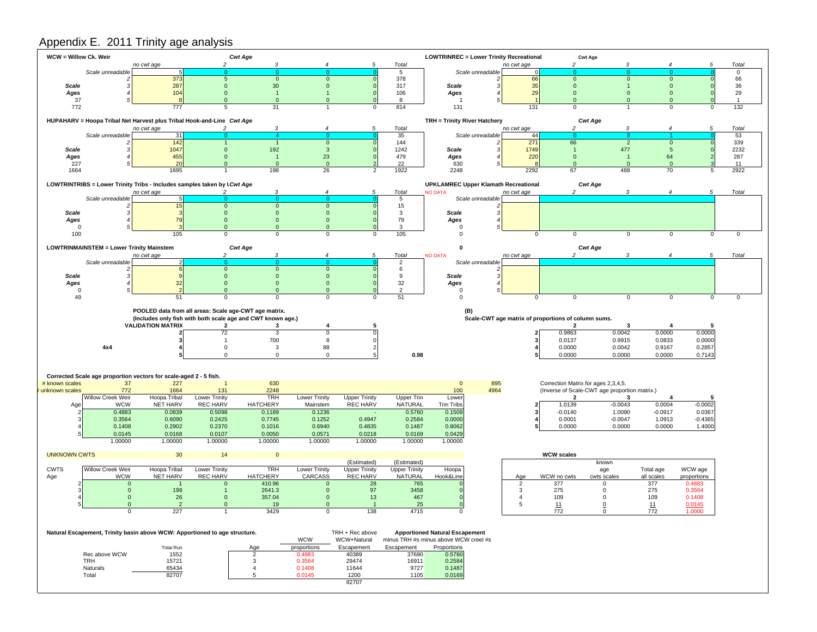#### Appendix E. 2011 Trinity age analysis

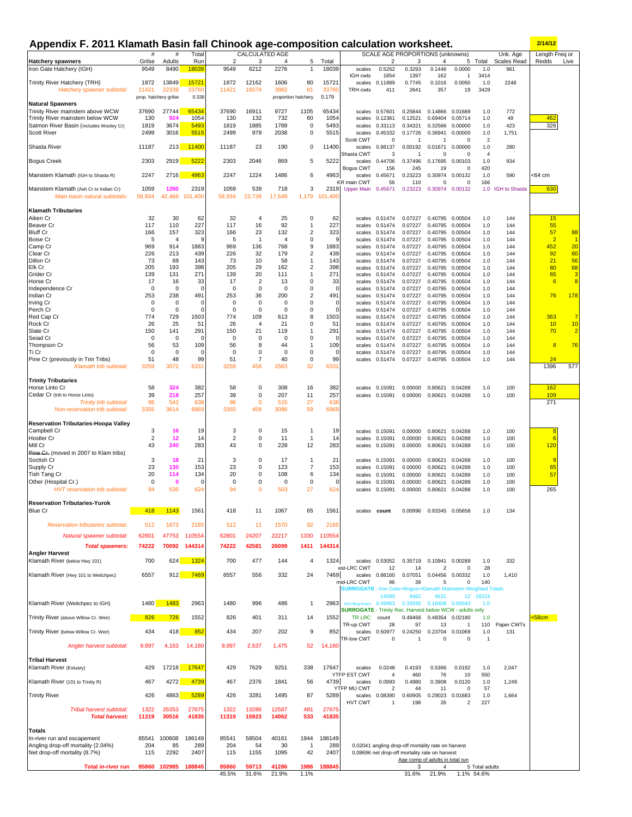#### **Appendix F. 2011 Klamath Basin fall Chinook age-composition calculation worksheet. 2/14/12**

| Appendix F. 2011 Kiamath Basin fall Uninook age-composition calculation worksheet. |                    |                       |                      |                    |                       | SCALE AGE PROPORTIONS (unknowns) |                                |                 |                                                                     |                          | <u>ZI 141 1 Z</u>                                  |                           |                            |                              |                         |                         |                  |
|------------------------------------------------------------------------------------|--------------------|-----------------------|----------------------|--------------------|-----------------------|----------------------------------|--------------------------------|-----------------|---------------------------------------------------------------------|--------------------------|----------------------------------------------------|---------------------------|----------------------------|------------------------------|-------------------------|-------------------------|------------------|
| <b>Hatchery spawners</b>                                                           | #<br>Grilse        | #<br>Adults           | Total<br>Run         | $\overline{2}$     | CALCULATED AGE<br>3   | 4                                | 5                              | Total           |                                                                     | 2                        | 3                                                  | 4                         | 5                          | Total                        | Unk. Age<br>Scales Read | Length Freq or<br>Redds | Live             |
| Iron Gate Hatchery (IGH)                                                           | 9549               | 8490                  | 18039                | 9549               | 6212                  | 2276                             | $\mathbf{1}$                   | 18039           | scales                                                              | 0.5262                   | 0.3293                                             | 0.1446                    | 0.0000                     | 1.0                          | 961                     |                         |                  |
|                                                                                    |                    |                       |                      |                    |                       |                                  |                                |                 | IGH cwts                                                            | 1854                     | 1397                                               | 162                       | $\overline{1}$             | 3414                         |                         |                         |                  |
| Trinity River Hatchery (TRH)<br>Hatchery spawner subtotal:                         | 1872<br>11421      | 13849<br>22339        | 15721<br>33760       | 1872<br>11421      | 12162<br>18374        | 1606<br>3882                     | 80<br>81                       | 15721<br>33760  | scales<br><b>TRH cwts</b>                                           | 0.11889<br>411           | 0.7745<br>2641                                     | 0.1016<br>357             | 0.0050<br>19               | 1.0<br>3429                  | 2248                    |                         |                  |
|                                                                                    |                    | prop. hatchery grilse | 0.338                |                    |                       |                                  | proportion hatchery            | 0.179           |                                                                     |                          |                                                    |                           |                            |                              |                         |                         |                  |
| <b>Natural Spawners</b>                                                            |                    |                       |                      |                    |                       |                                  |                                |                 |                                                                     |                          |                                                    |                           |                            |                              |                         |                         |                  |
| Trinity River mainstem above WCW<br>Trinity River mainstem below WCW               | 37690<br>130       | 27744<br>924          | 65434<br>1054        | 37690<br>130       | 16911<br>132          | 9727<br>732                      | 1105<br>60                     | 65434<br>1054   | scales                                                              | 0.57601<br>0.12361       | 0.25844<br>0.12521                                 | 0.14866<br>0.69404        | 0.01689<br>0.05714         | 1.0<br>1.0                   | 772<br>49               | 462                     |                  |
| Salmon River Basin (includes Wooley Cr)                                            | 1819               | 3674                  | 5493                 | 1819               | 1885                  | 1789                             | 0                              | 5493            | scales<br>scales                                                    | 0.33113                  | 0.34321                                            | 0.32566                   | 0.00000                    | 1.0                          | 423                     | 326                     |                  |
| <b>Scott River</b>                                                                 | 2499               | 3016                  | 5515                 | 2499               | 978                   | 2038                             | $\mathbf 0$                    | 5515            | scales                                                              | 0.45332                  | 0.17726                                            | 0.36941                   | 0.00000                    | 1.0                          | 1,751                   |                         |                  |
|                                                                                    |                    |                       |                      |                    |                       |                                  |                                |                 | Scott CWT                                                           | 0                        | -1                                                 |                           | $\Omega$                   | $\overline{2}$               |                         |                         |                  |
| Shasta River                                                                       | 11187              | 213                   | 11400                | 11187              | 23                    | 190                              | 0                              | 11400           | scales<br>Shasta CWT                                                | 0.98137<br>3             | 0.00192<br>$\mathbf{1}$                            | 0.01671<br>0              | 0.00000<br>$\Omega$        | 1.0<br>$\overline{4}$        | 280                     |                         |                  |
| <b>Bogus Creek</b>                                                                 | 2303               | 2919                  | 5222                 | 2303               | 2046                  | 869                              | 5                              | 5222            | scales                                                              | 0.44706                  | 0.37496                                            | 0.17695                   | 0.00103                    | 1.0                          | 934                     |                         |                  |
|                                                                                    |                    |                       |                      |                    |                       |                                  |                                |                 | Bogus CWT                                                           | 156                      | 245                                                | 19                        | $\Omega$                   | 420                          |                         |                         |                  |
| Mainstem Klamath (IGH to Shasta R)                                                 | 2247               | 2716                  | 4963                 | 2247               | 1224                  | 1486                             | 6                              | 4963            | scales<br><b>KR</b> main CWT                                        | 0.45671<br>56            | 0.23223<br>110                                     | 0.30974<br>$\mathbf 0$    | 0.00132<br>0               | 1.0<br>166                   | 590                     | <64 cm                  |                  |
| Mainstem Klamath (Ash Cr to Indian Cr)                                             | 1059               | 1260                  | 2319                 | 1059               | 539                   | 718                              | 3                              | 2319            | Upper Main 0.45671                                                  |                          | 0.23223                                            |                           | 0.30974 0.00132            |                              | 1.0 IGH to Shasta       | 630                     |                  |
| Main basin natural subtotals:                                                      | 58,934             | 42,466                | 101,400              | 58,934             | 23,738                | 17,549                           | 1,179                          | 101.400         |                                                                     |                          |                                                    |                           |                            |                              |                         |                         |                  |
|                                                                                    |                    |                       |                      |                    |                       |                                  |                                |                 |                                                                     |                          |                                                    |                           |                            |                              |                         |                         |                  |
| <b>Klamath Tributaries</b><br>Aiken Cr                                             | 32                 | 30                    | 62                   | 32                 | $\overline{4}$        | 25                               | $\mathbf 0$                    | 62              | scales                                                              | 0.51474                  | 0.07227                                            | 0.40795                   | 0.00504                    | 1.0                          | 144                     | 15                      |                  |
| <b>Beaver Cr</b>                                                                   | 117                | 110                   | 227                  | 117                | 16                    | 92                               | $\mathbf{1}$                   | 227             | scales                                                              | 0.51474                  | 0.07227                                            | 0.40795                   | 0.00504                    | 1.0                          | 144                     | 55                      |                  |
| <b>Bluff Cr</b>                                                                    | 166                | 157                   | 323                  | 166                | 23                    | 132                              | 2                              | 323             |                                                                     | scales 0.51474           | 0.07227                                            | 0.40795                   | 0.00504                    | 1.0                          | 144                     | 57                      | 88               |
| <b>Boise Cr</b><br>Camp Cr                                                         | 5<br>969           | $\overline{4}$<br>914 | g<br>1883            | 5<br>969           | $\mathbf{1}$<br>136   | $\overline{4}$<br>768            | 0<br>9                         | 9<br>1883       | scales<br>scales                                                    | 0.51474<br>0.51474       | 0.07227<br>0.07227                                 | 0.40795<br>0.40795        | 0.00504<br>0.00504         | 1.0<br>1.0                   | 144<br>144              | $\overline{2}$<br>452   | $\sqrt{1}$<br>20 |
| Clear Cr                                                                           | 226                | 213                   | 439                  | 226                | 32                    | 179                              | $\overline{2}$                 | 439             | scales                                                              | 0.51474                  | 0.07227                                            | 0.40795                   | 0.00504                    | 1.0                          | 144                     | 92                      | 60               |
| Dillon Cr                                                                          | 73                 | 69                    | 143                  | 73                 | 10                    | 58                               | $\mathbf{1}$                   | 143             | scales                                                              | 0.51474                  | 0.07227                                            | 0.40795                   | 0.00504                    | 1.0                          | 144                     | 21                      | 56               |
| Elk Cr                                                                             | 205                | 193                   | 398                  | 205                | 29                    | 162                              | $\overline{2}$<br>$\mathbf{1}$ | 398             | scales                                                              | 0.51474                  | 0.07227                                            | 0.40795                   | 0.00504                    | 1.0                          | 144                     | 80<br>65                | 68               |
| Grider Cr<br>Horse Cr                                                              | 139<br>17          | 131<br>16             | 271<br>33            | 139<br>17          | 20<br>$\overline{2}$  | 111<br>13                        | 0                              | 271<br>33       | scales<br>scales                                                    | 0.51474<br>0.51474       | 0.07227<br>0.07227                                 | 0.40795<br>0.40795        | 0.00504<br>0.00504         | 1.0<br>1.0                   | 144<br>144              | 6                       | 3<br>8           |
| Independence Cr                                                                    | $\mathbf 0$        | 0                     | $\Omega$             | 0                  | 0                     | 0                                | $\mathbf 0$                    | 0               | scales                                                              | 0.51474                  | 0.07227                                            | 0.40795                   | 0.00504                    | 1.0                          | 144                     |                         |                  |
| Indian Cr                                                                          | 253                | 238                   | 491                  | 253                | 36                    | 200                              | $\overline{2}$                 | 491             | scales                                                              | 0.51474                  | 0.07227                                            | 0.40795                   | 0.00504                    | 1.0                          | 144                     | 76                      | 178              |
| Irving Cr<br>Perch Cr                                                              | 0<br>$\mathbf 0$   | 0<br>$\mathbf 0$      | $\Omega$<br>$\Omega$ | 0<br>$\mathbf 0$   | 0<br>$\mathbf 0$      | 0<br>0                           | 0<br>$\mathsf 0$               | 0<br>0          | scales<br>scales                                                    | 0.51474<br>0.51474       | 0.07227<br>0.07227                                 | 0.40795<br>0.40795        | 0.00504<br>0.00504         | 1.0<br>1.0                   | 144<br>144              |                         |                  |
| Red Cap Cr                                                                         | 774                | 729                   | 1503                 | 774                | 109                   | 613                              | 8                              | 1503            | scales                                                              | 0.51474                  | 0.07227                                            | 0.40795                   | 0.00504                    | 1.0                          | 144                     | 363                     | $\overline{7}$   |
| Rock Cr                                                                            | 26                 | 25                    | 51                   | 26                 | 4                     | 21                               | 0                              | 51              | scales                                                              | 0.51474                  | 0.07227                                            | 0.40795                   | 0.00504                    | 1.0                          | 144                     | 10                      | 10               |
| Slate Cr<br>Seiad Cr                                                               | 150<br>$\mathbf 0$ | 141<br>$\mathbf 0$    | 291<br>n             | 150<br>$\mathbf 0$ | 21<br>$\mathbf 0$     | 119<br>0                         | $\mathbf{1}$<br>$\mathsf 0$    | 291<br>$\Omega$ | scales                                                              | 0.51474<br>0.51474       | 0.07227<br>0.07227                                 | 0.40795<br>0.40795        | 0.00504<br>0.00504         | 1.0<br>1.0                   | 144<br>144              | 70                      | $\overline{2}$   |
| Thompson Cr                                                                        | 56                 | 53                    | 109                  | 56                 | 8                     | 44                               | $\mathbf{1}$                   | 109             | scales<br>scales                                                    | 0.51474                  | 0.07227                                            | 0.40795                   | 0.00504                    | 1.0                          | 144                     | 8                       | 76               |
| Ti Cr                                                                              | $\mathbf 0$        | 0                     | $\Omega$             | 0                  | 0                     | 0                                | 0                              | 0               | scales                                                              | 0.51474                  | 0.07227                                            | 0.40795                   | 0.00504                    | 1.0                          | 144                     |                         |                  |
| Pine Cr (previously in Trin Tribs)                                                 | 51<br>3259         | 48<br>3072            | 99<br>6331           | 51<br>3259         | $\overline{7}$<br>458 | 40<br>2583                       | $\mathbf 0$<br>32              | 99<br>6331      |                                                                     | scales 0.51474           | 0.07227                                            | 0.40795                   | 0.00504                    | 1.0                          | 144                     | 24<br>1396              | 577              |
| Klamath trib subtotal:                                                             |                    |                       |                      |                    |                       |                                  |                                |                 |                                                                     |                          |                                                    |                           |                            |                              |                         |                         |                  |
| <b>Trinity Tributaries</b>                                                         |                    |                       |                      |                    |                       |                                  |                                |                 |                                                                     |                          |                                                    |                           |                            |                              |                         |                         |                  |
| Horse Linto Cr<br>Cedar Cr (trib to Horse Linto)                                   | 58<br>39           | 324<br>218            | 382<br>257           | 58<br>39           | 0<br>$\mathbf 0$      | 308<br>207                       | 16<br>11                       | 382<br>257      |                                                                     | scales 0.15091           | 0.00000                                            | 0.80621                   | 0.04288                    | 1.0<br>1.0                   | 100<br>100              | 162<br>109              |                  |
| Trinity trib subtotal:                                                             | 96                 | 542                   | 638                  | 96                 | $\mathbf 0$           | 515                              | 27                             | 638             |                                                                     | scales 0.15091           | 0.00000                                            | 0.80621                   | 0.04288                    |                              |                         | 271                     |                  |
| Non-reservation trib subtotal:                                                     | 3355               | 3614                  | 6969                 | 3355               | 458                   | 3098                             | 59                             | 6969            |                                                                     |                          |                                                    |                           |                            |                              |                         |                         |                  |
|                                                                                    |                    |                       |                      |                    |                       |                                  |                                |                 |                                                                     |                          |                                                    |                           |                            |                              |                         |                         |                  |
| <b>Reservation Tributaries-Hoopa Valley</b><br>Campbell Cr                         | 3                  | 16                    | 19                   | 3                  | $\mathbf 0$           | 15                               | $\mathbf{1}$                   | 19              | scales                                                              | 0.15091                  | 0.00000                                            | 0.80621                   | 0.04288                    | 1.0                          | 100                     | 8                       |                  |
| Hostler Cr                                                                         | $\overline{2}$     | 12                    | 14                   | 2                  | 0                     | 11                               | $\overline{1}$                 | 14              | scales                                                              | 0.15091                  | 0.00000                                            | 0.80621                   | 0.04288                    | 1.0                          | 100                     | 6                       |                  |
| Mill Cr                                                                            | 43                 | 240                   | 283                  | 43                 | 0                     | 228                              | 12                             | 283             | scales                                                              | 0.15091                  | 0.00000                                            | 0.80621                   | 0.04288                    | 1.0                          | 100                     | 120                     |                  |
| Pine Cr. (moved in 2007 to Klam tribs)<br>Soctish Cr                               | 3                  | 18                    | 21                   | 3                  | 0                     | 17                               | $\overline{1}$                 | 21              |                                                                     | scales 0.15091           | 0.00000                                            | 0.80621                   | 0.04288                    | 1.0                          | 100                     | 9                       |                  |
| Supply Cr                                                                          | 23                 | 130                   | 153                  | 23                 | 0                     | 123                              | $\overline{7}$                 | 153             |                                                                     | scales 0.15091           | 0.00000                                            | 0.80621                   | 0.04288                    | 1.0                          | 100                     | 65                      |                  |
| Tish Tang Cr                                                                       | 20                 | 114                   | 134                  | 20                 | $\bf 0$               | 108                              | 6                              | 134             |                                                                     | scales 0.15091           | 0.00000                                            | 0.80621                   | 0.04288                    | 1.0                          | 100                     | 57                      |                  |
| Other (Hospital Cr.)                                                               | $\mathbf 0$<br>94  | $\mathbf 0$           | $\Omega$             | 0<br>94            | 0<br>$\mathbf 0$      | 0                                | 0                              | 0               | scales                                                              | 0.15091                  | 0.00000                                            | 0.80621                   | 0.04288                    | 1.0                          | 100                     | 265                     |                  |
| HVT reservation trib subtotal:                                                     |                    | 530                   | 624                  |                    |                       | 503                              | 27                             | 624             |                                                                     | scales 0.15091           | 0.00000                                            | 0.80621                   | 0.04288                    | 1.0                          | 100                     |                         |                  |
| <b>Reservation Tributaries-Yurok</b>                                               |                    |                       |                      |                    |                       |                                  |                                |                 |                                                                     |                          |                                                    |                           |                            |                              |                         |                         |                  |
| <b>Blue Cr</b>                                                                     | 418                | 1143                  | 1561                 | 418                | 11                    | 1067                             | 65                             | 1561            |                                                                     | scales count             | 0.00996                                            |                           | 0.93345 0.05658            | 1.0                          | 134                     |                         |                  |
| Reservation tributaries subtotal:                                                  | 512                | 1673                  | 2185                 | 512                | 11                    | 1570                             | 92                             | 2185            |                                                                     |                          |                                                    |                           |                            |                              |                         |                         |                  |
| Natural spawner subtotal:                                                          | 62801              | 47753                 | 110554               | 62801              | 24207                 | 22217                            | 1330                           | 110554          |                                                                     |                          |                                                    |                           |                            |                              |                         |                         |                  |
| <b>Total spawners:</b>                                                             | 74222              | 70092                 | 144314               | 74222              | 42581                 | 26099                            | 1411                           | 144314          |                                                                     |                          |                                                    |                           |                            |                              |                         |                         |                  |
| <b>Angler Harvest</b>                                                              |                    |                       |                      |                    |                       |                                  |                                |                 |                                                                     |                          |                                                    |                           |                            |                              |                         |                         |                  |
| Klamath River (below Hwy 101)                                                      | 700                | 624                   | 1324                 | 700                | 477                   | 144                              | 4                              | 1324            |                                                                     | scales 0.53052           | 0.35719                                            |                           | 0.10941 0.00289            | 1.0                          | 332                     |                         |                  |
| Klamath River (Hwy 101 to Weitchpec)                                               | 6557               | 912                   | 7469                 | 6557               | 556                   | 332                              | 24                             | 7469            | est-LRC CWT                                                         | 12<br>scales 0.88160     | 14<br>0.07051                                      | $\overline{2}$<br>0.04456 | $\Omega$<br>0.00332        | 28<br>1.0                    | 1,410                   |                         |                  |
|                                                                                    |                    |                       |                      |                    |                       |                                  |                                |                 | mid-LRC CWT                                                         | 96                       | 39                                                 | 5                         | $\mathbf 0$                | 140                          |                         |                         |                  |
|                                                                                    |                    |                       |                      |                    |                       |                                  |                                |                 | <b>SURROGATE</b> - Iron Gate+Bogus+Klamath Mainstem Weighted Totals |                          |                                                    |                           |                            |                              |                         |                         |                  |
| Klamath River (Weitchpec to IGH)                                                   | 1480               | 1483                  | 2963                 | 1480               | 996                   | 486                              | $\mathbf{1}$                   | 2963            | IGH+Bog+Klam                                                        | 14099<br>0.49953         | 9482<br>0.33595                                    | 4631<br>0.16408           | 12 <sup>°</sup><br>0.00043 | 28224<br>1.0                 |                         |                         |                  |
|                                                                                    |                    |                       |                      |                    |                       |                                  |                                |                 | <b>SURROGATE</b> - Trinity Rec. Harvest below WCW - adults only     |                          |                                                    |                           |                            |                              |                         |                         |                  |
| Trinity River (above Willow Cr. Weir)                                              | 826                | 726                   | 1552                 | 826                | 401                   | 311                              | 14                             | 1552            | TR LRC                                                              | count                    | 0.49466                                            | 0.48354                   | 0.02180                    | 1.0                          |                         | 58cm                    |                  |
| Trinity River (below Willow Cr. Weir)                                              | 434                | 418                   | 852                  | 434                | 207                   | 202                              | 9                              | 852             | TR-up CWT                                                           | 28<br>scales 0.50977     | 97<br>0.24250                                      | 13<br>0.23704             | $\mathbf{1}$<br>0.01069    | 110<br>1.0                   | Paper CWTs<br>131       |                         |                  |
|                                                                                    |                    |                       |                      |                    |                       |                                  |                                |                 | <b>FR-low CWT</b>                                                   | $\mathbf 0$              | $\overline{1}$                                     | $\mathbf 0$               | $\Omega$                   | $\mathbf{1}$                 |                         |                         |                  |
| Angler harvest subtotal:                                                           | 9,997              | 4,163                 | 14,160               | 9,997              | 2,637                 | 1,475                            | 52                             | 14,160          |                                                                     |                          |                                                    |                           |                            |                              |                         |                         |                  |
| <b>Tribal Harvest</b>                                                              |                    |                       |                      |                    |                       |                                  |                                |                 |                                                                     |                          |                                                    |                           |                            |                              |                         |                         |                  |
| Klamath River (Estuary)                                                            | 429                | 17218                 | 17647                | 429                | 7629                  | 9251                             | 338                            | 17647           | scales                                                              | 0.0248                   | 0.4193                                             | 0.5366                    | 0.0192                     | 1.0                          | 2,047                   |                         |                  |
|                                                                                    |                    |                       |                      |                    |                       | 1841                             |                                | 4739            | YTFP EST CWT                                                        | 4                        | 460                                                | 76                        | 10                         | 550                          |                         |                         |                  |
| Klamath River (101 to Trinity R)                                                   | 467                | 4272                  | 4739                 | 467                | 2376                  |                                  | 56                             |                 | scales<br>YTFP MU CWT                                               | 0.0993<br>$\overline{2}$ | 0.4980<br>44                                       | 0.3908<br>11              | 0.0120<br>$\Omega$         | 1.0<br>57                    | 1,249                   |                         |                  |
| <b>Trinity River</b>                                                               | 426                | 4863                  | 5289                 | 426                | 3281                  | 1495                             | 87                             | 5289            | scales                                                              | 0.08390                  | 0.60905                                            | 0.29023                   | 0.01683                    | 1.0                          | 1,664                   |                         |                  |
|                                                                                    |                    |                       |                      |                    |                       |                                  |                                |                 | <b>HVT CWT</b>                                                      | $\overline{1}$           | 198                                                | 26                        | $\overline{2}$             | 227                          |                         |                         |                  |
| Tribal harvest subtotal:<br><b>Total harvest:</b>                                  | 1322<br>11319      | 26353<br>30516        | 27675<br>41835       | 1322<br>11319      | 13286<br>15923        | 12587<br>14062                   | 481<br>533                     | 27675<br>41835  |                                                                     |                          |                                                    |                           |                            |                              |                         |                         |                  |
|                                                                                    |                    |                       |                      |                    |                       |                                  |                                |                 |                                                                     |                          |                                                    |                           |                            |                              |                         |                         |                  |
| Totals<br>In-river run and escapement                                              | 85541              | 100608                | 186149               | 85541              | 58504                 | 40161                            | 1944                           | 186149          |                                                                     |                          |                                                    |                           |                            |                              |                         |                         |                  |
| Angling drop-off mortality (2.04%)                                                 | 204                | 85                    | 289                  | 204                | 54                    | 30                               | $\mathbf{1}$                   | 289             |                                                                     |                          | 0.02041 angling drop-off mortality rate on harvest |                           |                            |                              |                         |                         |                  |
| Net drop-off mortality (8.7%)                                                      | 115                | 2292                  | 2407                 | 115                | 1155                  | 1095                             | 42                             | 2407            |                                                                     |                          | 0.08696 net drop-off mortality rate on harvest     |                           |                            |                              |                         |                         |                  |
|                                                                                    |                    |                       |                      |                    |                       |                                  |                                |                 |                                                                     |                          | Age comp of adults in total run                    |                           |                            |                              |                         |                         |                  |
| <b>Total in-river run</b>                                                          |                    | 85860 102985          | 188845               | 85860<br>45.5%     | 59713<br>31.6%        | 41286<br>21.9%                   | 1986<br>1.1%                   | 188845          |                                                                     |                          | 3<br>31.6%                                         | $\overline{4}$<br>21.9%   |                            | 5 Total adults<br>1.1% 54.6% |                         |                         |                  |